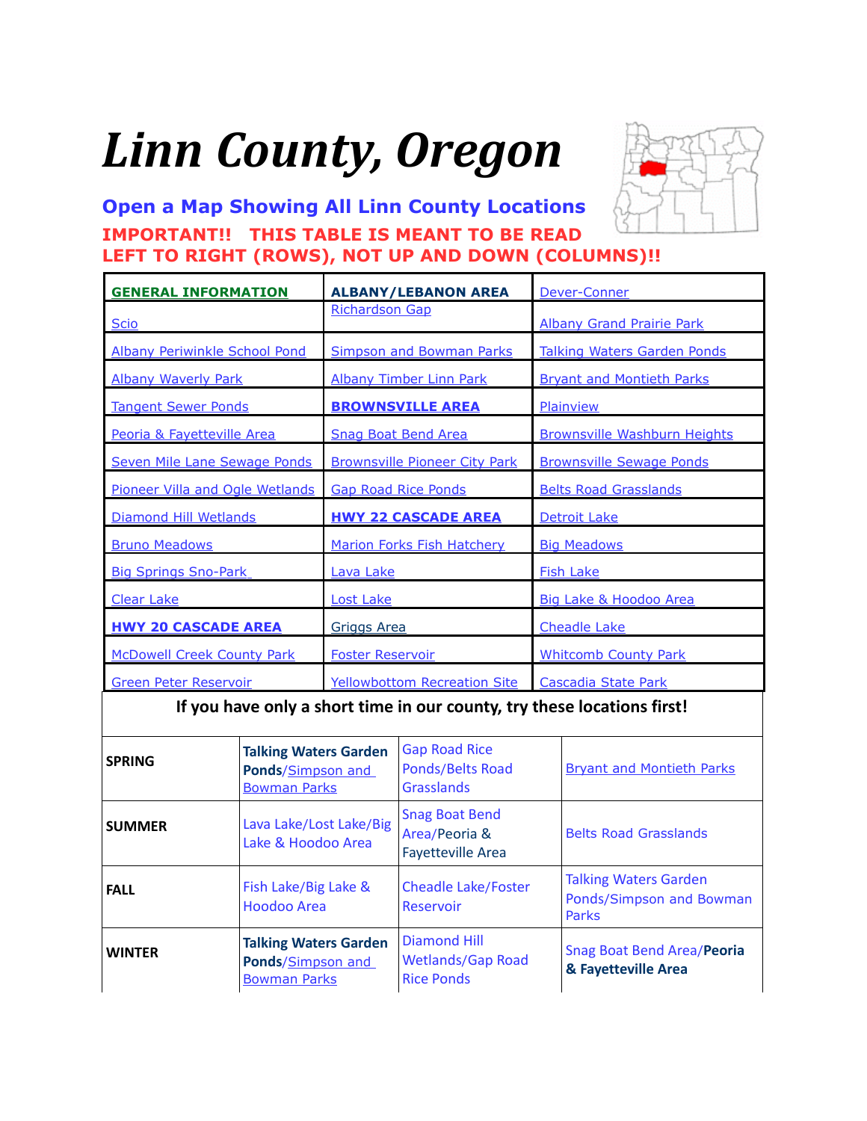# <span id="page-0-0"></span>*Linn County, Oregon*



**[Open a Map Showing All Linn County Locations](https://www.google.com/maps/d/edit?mid=zVl1oTDALjf4.kmVdLg7hXXv0&usp=sharing) IMPORTANT!! THIS TABLE IS MEANT TO BE READ LEFT TO RIGHT (ROWS), NOT UP AND DOWN (COLUMNS)!!**

| <b>GENERAL INFORMATION</b>           | <b>ALBANY/LEBANON AREA</b>                                         | Dever-Conner                        |
|--------------------------------------|--------------------------------------------------------------------|-------------------------------------|
| <b>Scio</b>                          | <b>Richardson Gap</b>                                              | <b>Albany Grand Prairie Park</b>    |
| <b>Albany Periwinkle School Pond</b> | <b>Simpson and Bowman Parks</b>                                    | <b>Talking Waters Garden Ponds</b>  |
| <b>Albany Waverly Park</b>           | <b>Albany Timber Linn Park</b><br><b>Bryant and Montieth Parks</b> |                                     |
| <b>Tangent Sewer Ponds</b>           | <b>BROWNSVILLE AREA</b>                                            | Plainview                           |
| Peoria & Fayetteville Area           | <b>Snag Boat Bend Area</b>                                         | <b>Brownsville Washburn Heights</b> |
| Seven Mile Lane Sewage Ponds         | <b>Brownsville Pioneer City Park</b>                               | <b>Brownsville Sewage Ponds</b>     |
| Pioneer Villa and Ogle Wetlands      | <b>Gap Road Rice Ponds</b>                                         | <b>Belts Road Grasslands</b>        |
| Diamond Hill Wetlands                | <b>HWY 22 CASCADE AREA</b>                                         | Detroit Lake                        |
| <b>Bruno Meadows</b>                 | <b>Marion Forks Fish Hatchery</b>                                  | <b>Big Meadows</b>                  |
| <b>Big Springs Sno-Park</b>          | Lava Lake                                                          | <b>Fish Lake</b>                    |
| <b>Clear Lake</b>                    | <b>Lost Lake</b>                                                   | Big Lake & Hoodoo Area              |
| <b>HWY 20 CASCADE AREA</b>           | <b>Griggs Area</b>                                                 | <b>Cheadle Lake</b>                 |
| <b>McDowell Creek County Park</b>    | <b>Foster Reservoir</b>                                            | <b>Whitcomb County Park</b>         |
| <b>Green Peter Reservoir</b>         | <b>Yellowbottom Recreation Site</b>                                | Cascadia State Park                 |

**If you have only a short time in our county, try these locations first!**

| <b>SPRING</b> | <b>Talking Waters Garden</b><br>Ponds/Simpson and<br><b>Bowman Parks</b> | <b>Gap Road Rice</b><br>Ponds/Belts Road<br><b>Grasslands</b>        | <b>Bryant and Montieth Parks</b>                                  |
|---------------|--------------------------------------------------------------------------|----------------------------------------------------------------------|-------------------------------------------------------------------|
| <b>SUMMER</b> | Lava Lake/Lost Lake/Big<br>Lake & Hoodoo Area                            | <b>Snag Boat Bend</b><br>Area/Peoria &<br><b>Fayetteville Area</b>   | <b>Belts Road Grasslands</b>                                      |
| <b>FALL</b>   | Fish Lake/Big Lake &<br>Hoodoo Area                                      | <b>Cheadle Lake/Foster</b><br>Reservoir                              | <b>Talking Waters Garden</b><br>Ponds/Simpson and Bowman<br>Parks |
| <b>WINTER</b> | <b>Talking Waters Garden</b><br>Ponds/Simpson and<br><b>Bowman Parks</b> | <b>Diamond Hill</b><br><b>Wetlands/Gap Road</b><br><b>Rice Ponds</b> | Snag Boat Bend Area/Peoria<br>& Fayetteville Area                 |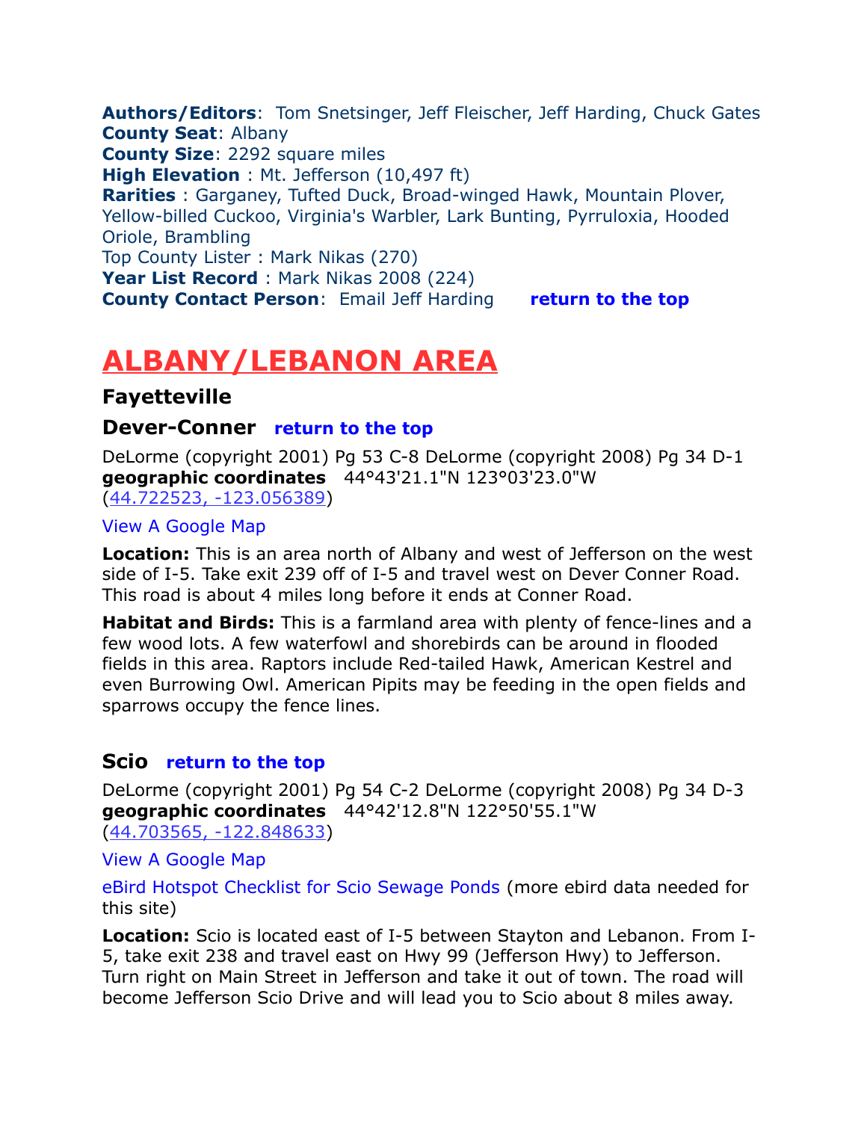<span id="page-1-3"></span>**Authors/Editors**: Tom Snetsinger, Jeff Fleischer, Jeff Harding, Chuck Gates **County Seat**: Albany **County Size**: 2292 square miles **High Elevation** : Mt. Jefferson (10,497 ft) **Rarities** : Garganey, Tufted Duck, Broad-winged Hawk, Mountain Plover, Yellow-billed Cuckoo, Virginia's Warbler, Lark Bunting, Pyrruloxia, Hooded Oriole, Brambling Top County Lister : Mark Nikas (270) **Year List Record** : Mark Nikas 2008 (224) **County Contact Person: Email [Jeff Harding](mailto:jeffharding@centurytel.net) [return to the top](#page-0-0)** 

# <span id="page-1-2"></span>**ALBANY/LEBANON AREA**

# **Fayetteville**

## <span id="page-1-1"></span>**Dever-Conner [return to the top](#page-0-0)**

DeLorme (copyright 2001) Pg 53 C-8 DeLorme (copyright 2008) Pg 34 D-1 **geographic coordinates** 44°43'21.1"N 123°03'23.0"W [\(44.722523, -123.056389\)](https://www.google.com/maps/place/44%C2%B043)

#### [View A Google Map](http://maps.google.com/maps/ms?hl=en&ie=UTF8&msa=0&msid=108036481085398338899.0004721297e33a1508ca0&ll=44.516093,-122.949371&spn=0.841151,2.108002&z=10)

**Location:** This is an area north of Albany and west of Jefferson on the west side of I-5. Take exit 239 off of I-5 and travel west on Dever Conner Road. This road is about 4 miles long before it ends at Conner Road.

**Habitat and Birds:** This is a farmland area with plenty of fence-lines and a few wood lots. A few waterfowl and shorebirds can be around in flooded fields in this area. Raptors include Red-tailed Hawk, American Kestrel and even Burrowing Owl. American Pipits may be feeding in the open fields and sparrows occupy the fence lines.

# <span id="page-1-0"></span>**Scio [return to the top](#page-0-0)**

DeLorme (copyright 2001) Pg 54 C-2 DeLorme (copyright 2008) Pg 34 D-3 **geographic coordinates** 44°42'12.8"N 122°50'55.1"W [\(44.703565, -122.848633\)](https://www.google.com/maps/place/44%C2%B042)

[View A Google Map](http://maps.google.com/maps/ms?hl=en&ie=UTF8&msa=0&msid=108036481085398338899.0004721297e33a1508ca0&ll=44.516093,-122.949371&spn=0.841151,2.108002&z=10)

[eBird Hotspot Checklist for Scio Sewage Ponds](http://ebird.org/ebird/hotspot/L824920) (more ebird data needed for this site)

**Location:** Scio is located east of I-5 between Stayton and Lebanon. From I-5, take exit 238 and travel east on Hwy 99 (Jefferson Hwy) to Jefferson. Turn right on Main Street in Jefferson and take it out of town. The road will become Jefferson Scio Drive and will lead you to Scio about 8 miles away.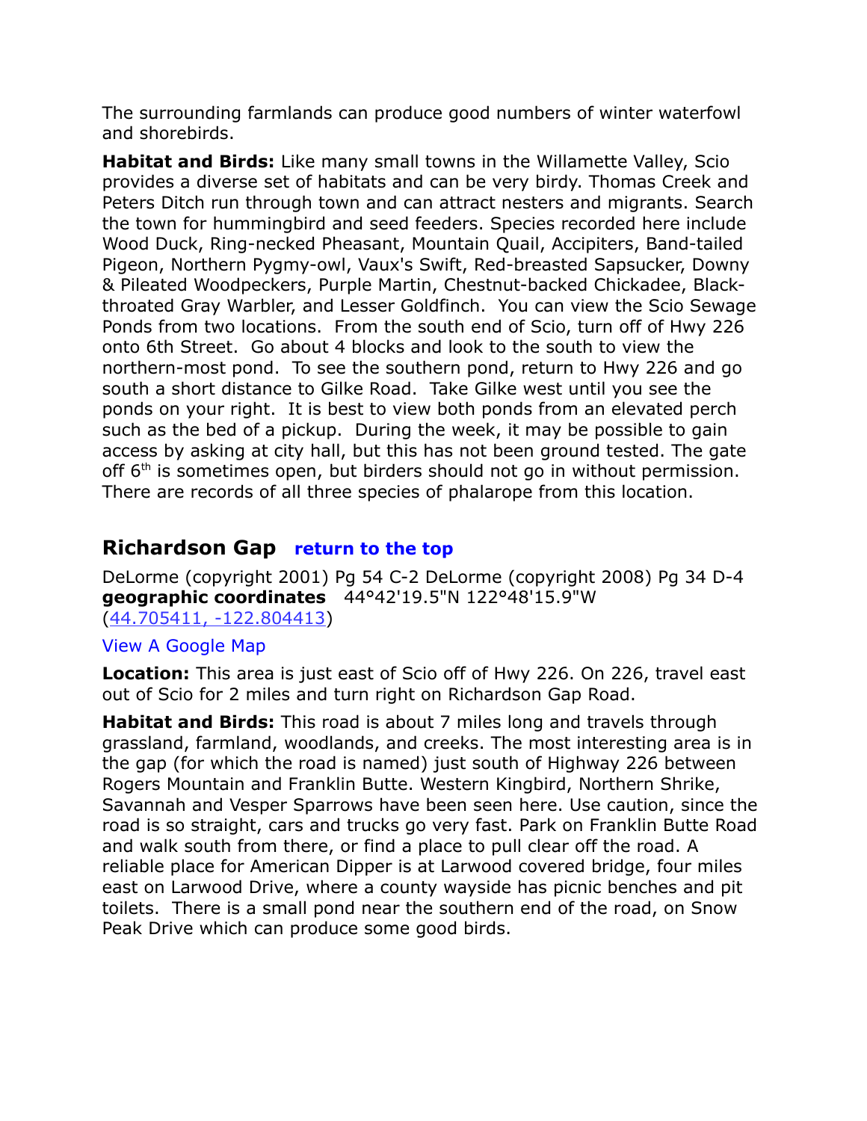The surrounding farmlands can produce good numbers of winter waterfowl and shorebirds.

**Habitat and Birds:** Like many small towns in the Willamette Valley, Scio provides a diverse set of habitats and can be very birdy. Thomas Creek and Peters Ditch run through town and can attract nesters and migrants. Search the town for hummingbird and seed feeders. Species recorded here include Wood Duck, Ring-necked Pheasant, Mountain Quail, Accipiters, Band-tailed Pigeon, Northern Pygmy-owl, Vaux's Swift, Red-breasted Sapsucker, Downy & Pileated Woodpeckers, Purple Martin, Chestnut-backed Chickadee, Blackthroated Gray Warbler, and Lesser Goldfinch. You can view the Scio Sewage Ponds from two locations. From the south end of Scio, turn off of Hwy 226 onto 6th Street. Go about 4 blocks and look to the south to view the northern-most pond. To see the southern pond, return to Hwy 226 and go south a short distance to Gilke Road. Take Gilke west until you see the ponds on your right. It is best to view both ponds from an elevated perch such as the bed of a pickup. During the week, it may be possible to gain access by asking at city hall, but this has not been ground tested. The gate off  $6<sup>th</sup>$  is sometimes open, but birders should not go in without permission. There are records of all three species of phalarope from this location.

# <span id="page-2-0"></span>**Richardson Gap [return to the top](#page-0-0)**

DeLorme (copyright 2001) Pg 54 C-2 DeLorme (copyright 2008) Pg 34 D-4 **geographic coordinates** 44°42'19.5"N 122°48'15.9"W [\(44.705411, -122.804413\)](https://www.google.com/maps/place/44%C2%B042)

#### [View A Google Map](http://maps.google.com/maps/ms?hl=en&ie=UTF8&msa=0&msid=108036481085398338899.0004721297e33a1508ca0&ll=44.516093,-122.949371&spn=0.841151,2.108002&z=10)

**Location:** This area is just east of Scio off of Hwy 226. On 226, travel east out of Scio for 2 miles and turn right on Richardson Gap Road.

**Habitat and Birds:** This road is about 7 miles long and travels through grassland, farmland, woodlands, and creeks. The most interesting area is in the gap (for which the road is named) just south of Highway 226 between Rogers Mountain and Franklin Butte. Western Kingbird, Northern Shrike, Savannah and Vesper Sparrows have been seen here. Use caution, since the road is so straight, cars and trucks go very fast. Park on Franklin Butte Road and walk south from there, or find a place to pull clear off the road. A reliable place for American Dipper is at Larwood covered bridge, four miles east on Larwood Drive, where a county wayside has picnic benches and pit toilets. There is a small pond near the southern end of the road, on Snow Peak Drive which can produce some good birds.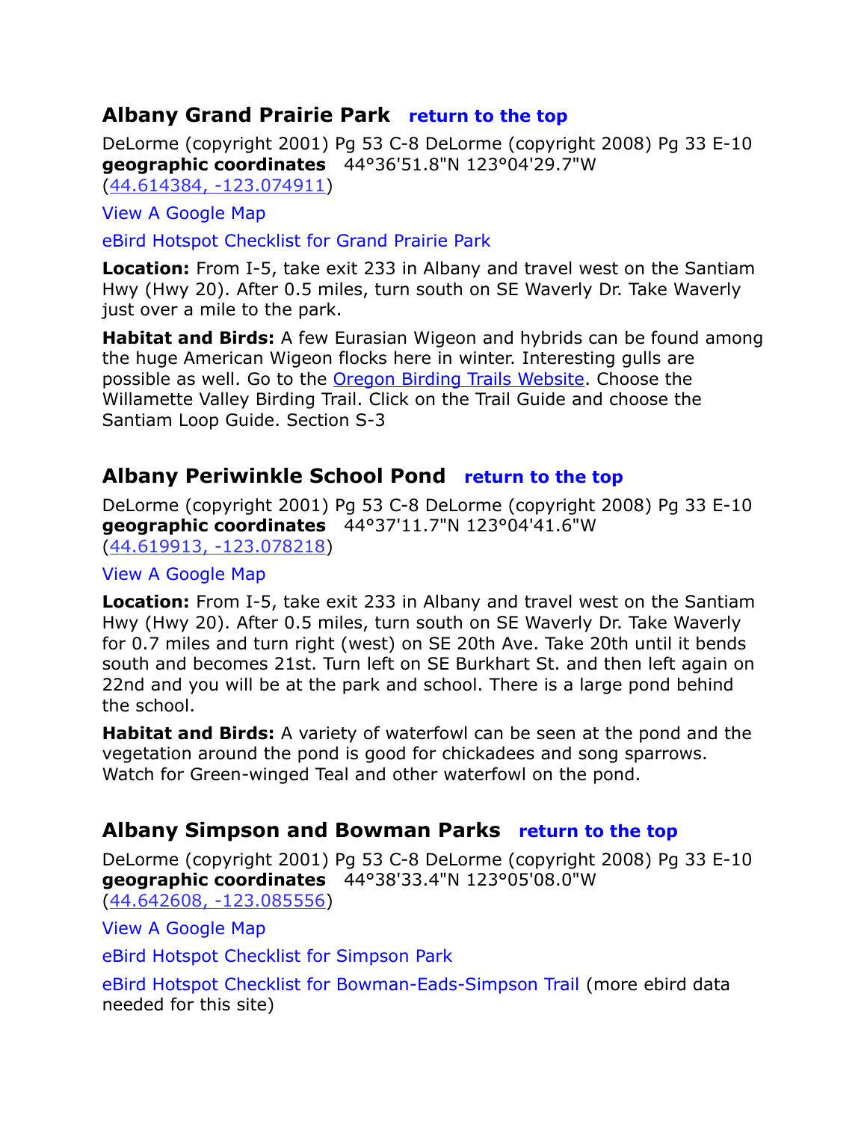# <span id="page-3-2"></span>**Albany Grand Prairie Park [return to the top](#page-0-0)**

DeLorme (copyright 2001) Pg 53 C-8 DeLorme (copyright 2008) Pg 33 E-10 **geographic coordinates** 44°36'51.8"N 123°04'29.7"W [\(44.614384, -123.074911\)](https://www.google.com/maps/place/44%C2%B036)

[View A Google Map](http://maps.google.com/maps/ms?hl=en&ie=UTF8&msa=0&msid=108036481085398338899.00047a1d1c848855f6b3a&ll=44.62884,-123.097515&spn=0.104941,0.2635&z=13)

[eBird Hotspot Checklist for Grand Prairie Park](http://ebird.org/ebird/hotspot/L1370183)

**Location:** From I-5, take exit 233 in Albany and travel west on the Santiam Hwy (Hwy 20). After 0.5 miles, turn south on SE Waverly Dr. Take Waverly just over a mile to the park.

**Habitat and Birds:** A few Eurasian Wigeon and hybrids can be found among the huge American Wigeon flocks here in winter. Interesting gulls are possible as well. Go to the [Oregon Birding Trails Website.](http://www.oregonbirdingtrails.org/) Choose the Willamette Valley Birding Trail. Click on the Trail Guide and choose the Santiam Loop Guide. Section S-3

# <span id="page-3-1"></span>**Albany Periwinkle School Pond [return to the top](#page-0-0)**

DeLorme (copyright 2001) Pg 53 C-8 DeLorme (copyright 2008) Pg 33 E-10 **geographic coordinates** 44°37'11.7"N 123°04'41.6"W [\(44.619913, -123.078218\)](https://www.google.com/maps/place/44%C2%B037)

#### [View A Google Map](http://maps.google.com/maps/ms?hl=en&ie=UTF8&msa=0&msid=108036481085398338899.00047a1d1c848855f6b3a&ll=44.62884,-123.097515&spn=0.104941,0.2635&z=13)

**Location:** From I-5, take exit 233 in Albany and travel west on the Santiam Hwy (Hwy 20). After 0.5 miles, turn south on SE Waverly Dr. Take Waverly for 0.7 miles and turn right (west) on SE 20th Ave. Take 20th until it bends south and becomes 21st. Turn left on SE Burkhart St. and then left again on 22nd and you will be at the park and school. There is a large pond behind the school.

**Habitat and Birds:** A variety of waterfowl can be seen at the pond and the vegetation around the pond is good for chickadees and song sparrows. Watch for Green-winged Teal and other waterfowl on the pond.

# <span id="page-3-0"></span>**Albany Simpson and Bowman Parks [return to the top](#page-0-0)**

DeLorme (copyright 2001) Pg 53 C-8 DeLorme (copyright 2008) Pg 33 E-10 **geographic coordinates** 44°38'33.4"N 123°05'08.0"W [\(44.642608, -123.085556\)](https://www.google.com/maps/place/44%C2%B038)

[View A Google Map](http://maps.google.com/maps/ms?hl=en&ie=UTF8&msa=0&msid=108036481085398338899.00047a1d1c848855f6b3a&ll=44.62884,-123.097515&spn=0.104941,0.2635&z=13)

[eBird Hotspot Checklist for Simpson Park](http://ebird.org/ebird/hotspot/L293811)

[eBird Hotspot Checklist for Bowman-Eads-Simpson Trail](http://ebird.org/ebird/hotspot/L2053489) (more ebird data needed for this site)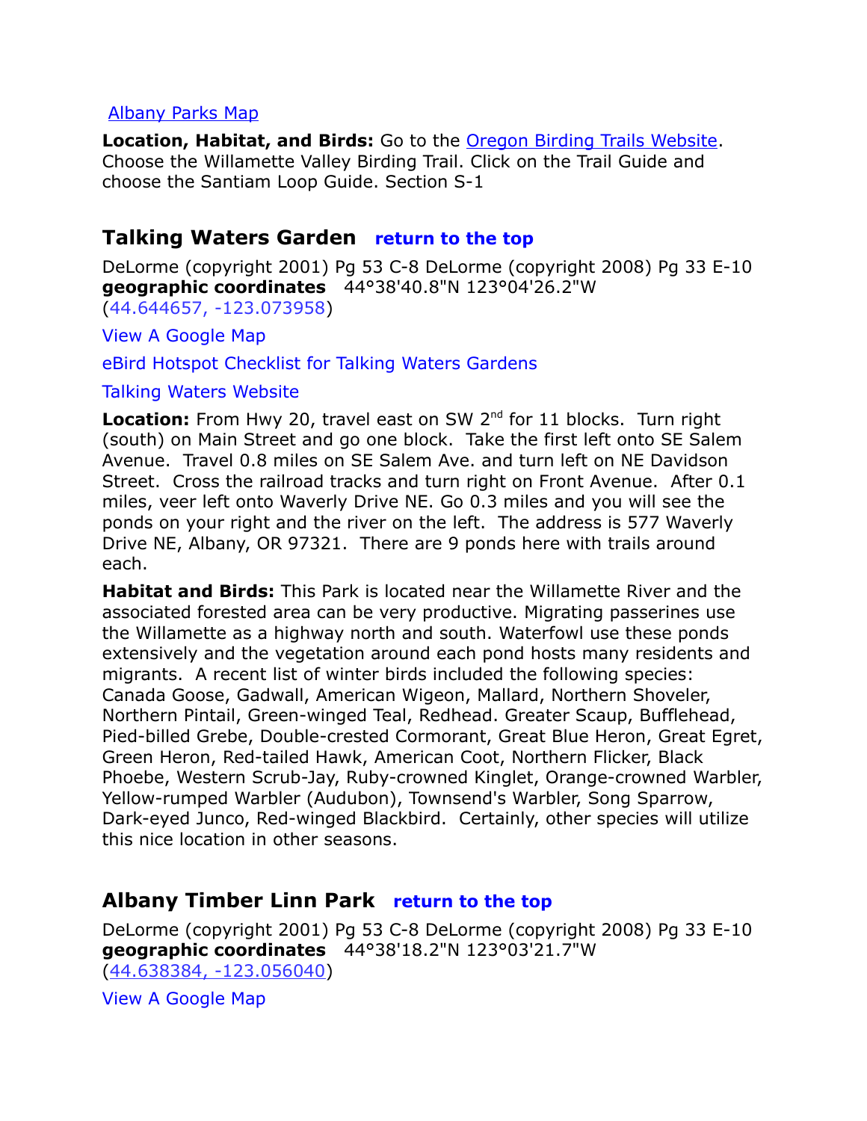#### [Albany Parks Map](http://www.ci.albany.or.us/parks/facilities/rental-forms/ParkMap.pdf)

**Location, Habitat, and Birds:** Go to the [Oregon Birding Trails Website.](http://www.oregonbirdingtrails.org/) Choose the Willamette Valley Birding Trail. Click on the Trail Guide and choose the Santiam Loop Guide. Section S-1

# <span id="page-4-0"></span>**Talking Waters Garden [return to the top](#page-0-0)**

DeLorme (copyright 2001) Pg 53 C-8 DeLorme (copyright 2008) Pg 33 E-10 **geographic coordinates** 44°38'40.8"N 123°04'26.2"W [\(44.644657, -123.073958\)](https://www.google.com/maps/place/44%C2%B038)

[View A Google Map](http://maps.google.com/maps/ms?hl=en&ie=UTF8&msa=0&msid=108036481085398338899.00047a1d1c848855f6b3a&ll=44.62884,-123.097515&spn=0.104941,0.2635&z=13)

[eBird Hotspot Checklist for Talking Waters Gardens](http://ebird.org/ebird/hotspot/L1529276)

[Talking Waters Website](http://twg.cityofalbany.net/)

**Location:** From Hwy 20, travel east on SW 2<sup>nd</sup> for 11 blocks. Turn right (south) on Main Street and go one block. Take the first left onto SE Salem Avenue. Travel 0.8 miles on SE Salem Ave. and turn left on NE Davidson Street. Cross the railroad tracks and turn right on Front Avenue. After 0.1 miles, veer left onto Waverly Drive NE. Go 0.3 miles and you will see the ponds on your right and the river on the left. The address is 577 Waverly Drive NE, Albany, OR 97321. There are 9 ponds here with trails around each.

**Habitat and Birds:** This Park is located near the Willamette River and the associated forested area can be very productive. Migrating passerines use the Willamette as a highway north and south. Waterfowl use these ponds extensively and the vegetation around each pond hosts many residents and migrants. A recent list of winter birds included the following species: Canada Goose, Gadwall, American Wigeon, Mallard, Northern Shoveler, Northern Pintail, Green-winged Teal, Redhead. Greater Scaup, Bufflehead, Pied-billed Grebe, Double-crested Cormorant, Great Blue Heron, Great Egret, Green Heron, Red-tailed Hawk, American Coot, Northern Flicker, Black Phoebe, Western Scrub-Jay, Ruby-crowned Kinglet, Orange-crowned Warbler, Yellow-rumped Warbler (Audubon), Townsend's Warbler, Song Sparrow, Dark-eyed Junco, Red-winged Blackbird. Certainly, other species will utilize this nice location in other seasons.

# <span id="page-4-1"></span>**Albany Timber Linn Park [return to the top](#page-0-0)**

DeLorme (copyright 2001) Pg 53 C-8 DeLorme (copyright 2008) Pg 33 E-10 **geographic coordinates** 44°38'18.2"N 123°03'21.7"W [\(44.638384, -123.056040\)](https://www.google.com/maps/place/44%C2%B038)

[View A Google Map](http://maps.google.com/maps/ms?hl=en&ie=UTF8&msa=0&msid=108036481085398338899.00047a1d1c848855f6b3a&ll=44.62884,-123.097515&spn=0.104941,0.2635&z=13)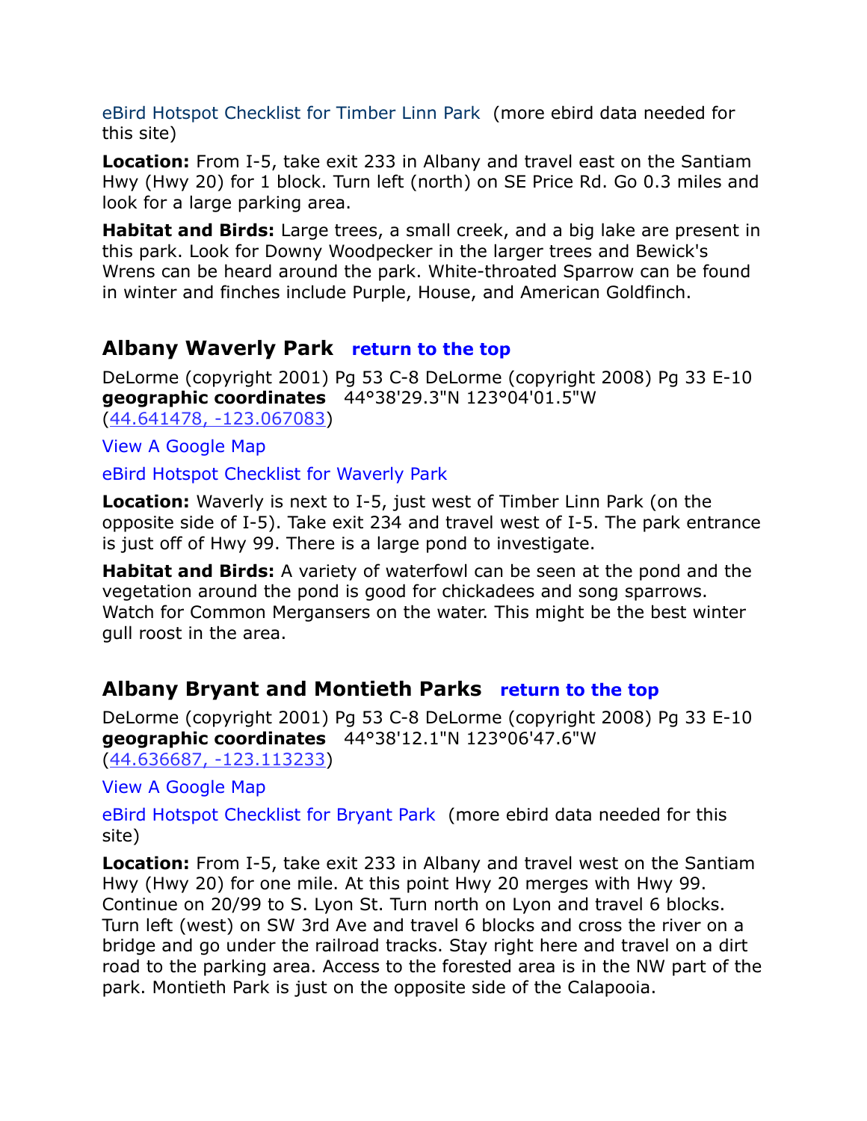[eBird Hotspot Checklist for Timber Linn Park](http://ebird.org/ebird/hotspot/L1397079) (more ebird data needed for this site)

**Location:** From I-5, take exit 233 in Albany and travel east on the Santiam Hwy (Hwy 20) for 1 block. Turn left (north) on SE Price Rd. Go 0.3 miles and look for a large parking area.

**Habitat and Birds:** Large trees, a small creek, and a big lake are present in this park. Look for Downy Woodpecker in the larger trees and Bewick's Wrens can be heard around the park. White-throated Sparrow can be found in winter and finches include Purple, House, and American Goldfinch.

# <span id="page-5-1"></span>**Albany Waverly Park [return to the top](#page-0-0)**

DeLorme (copyright 2001) Pg 53 C-8 DeLorme (copyright 2008) Pg 33 E-10 **geographic coordinates** 44°38'29.3"N 123°04'01.5"W [\(44.641478, -123.067083\)](https://www.google.com/maps/place/44%C2%B038)

[View A Google Map](http://maps.google.com/maps/ms?hl=en&ie=UTF8&msa=0&msid=108036481085398338899.00047a1d1c848855f6b3a&ll=44.62884,-123.097515&spn=0.104941,0.2635&z=13)

[eBird Hotspot Checklist for Waverly Park](http://ebird.org/ebird/hotspot/L2068731)

**Location:** Waverly is next to I-5, just west of Timber Linn Park (on the opposite side of I-5). Take exit 234 and travel west of I-5. The park entrance is just off of Hwy 99. There is a large pond to investigate.

**Habitat and Birds:** A variety of waterfowl can be seen at the pond and the vegetation around the pond is good for chickadees and song sparrows. Watch for Common Mergansers on the water. This might be the best winter gull roost in the area.

# <span id="page-5-0"></span>**Albany Bryant and Montieth Parks [return to the top](#page-0-0)**

DeLorme (copyright 2001) Pg 53 C-8 DeLorme (copyright 2008) Pg 33 E-10 **geographic coordinates** 44°38'12.1"N 123°06'47.6"W [\(44.636687, -123.113233\)](https://www.google.com/maps/place/44%C2%B038)

[View A Google Map](http://maps.google.com/maps/ms?hl=en&ie=UTF8&msa=0&msid=108036481085398338899.00047a1d1c848855f6b3a&ll=44.62884,-123.097515&spn=0.104941,0.2635&z=13)

[eBird Hotspot Checklist for Bryant Park](http://ebird.org/ebird/hotspot/L1308284) (more ebird data needed for this site)

**Location:** From I-5, take exit 233 in Albany and travel west on the Santiam Hwy (Hwy 20) for one mile. At this point Hwy 20 merges with Hwy 99. Continue on 20/99 to S. Lyon St. Turn north on Lyon and travel 6 blocks. Turn left (west) on SW 3rd Ave and travel 6 blocks and cross the river on a bridge and go under the railroad tracks. Stay right here and travel on a dirt road to the parking area. Access to the forested area is in the NW part of the park. Montieth Park is just on the opposite side of the Calapooia.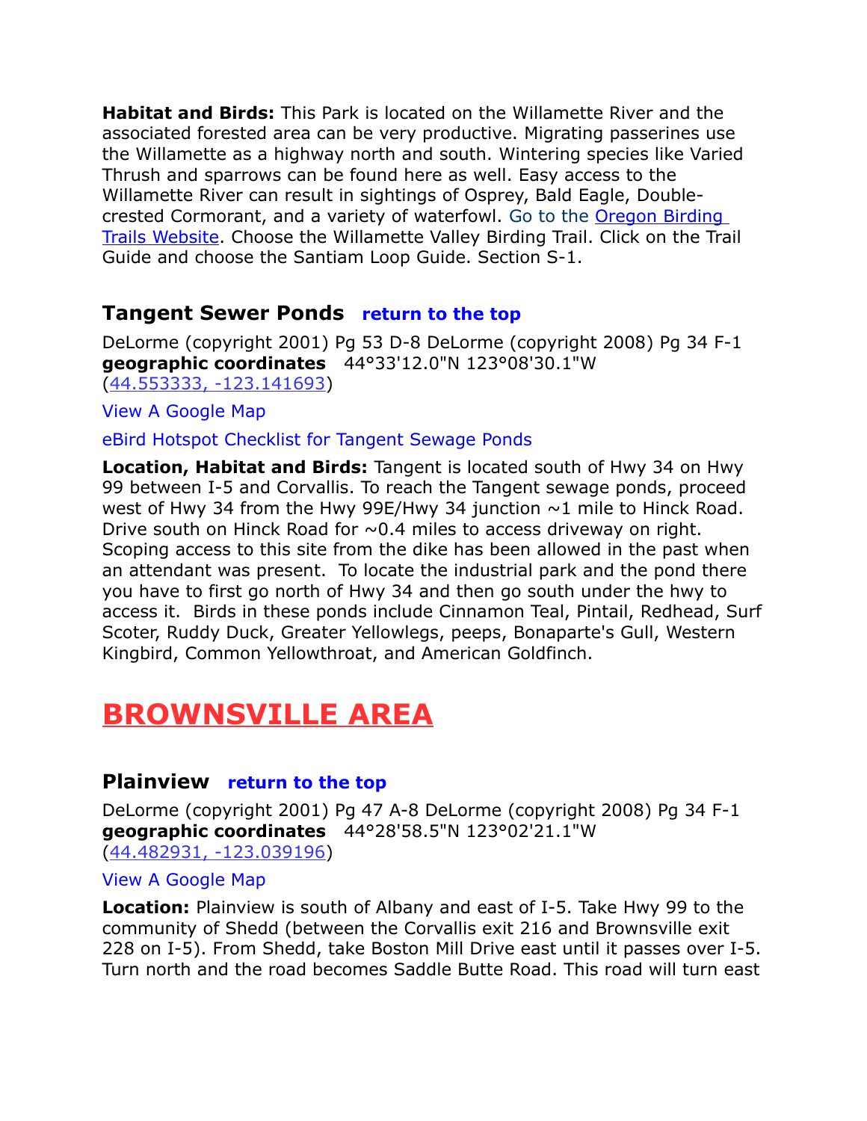**Habitat and Birds:** This Park is located on the Willamette River and the associated forested area can be very productive. Migrating passerines use the Willamette as a highway north and south. Wintering species like Varied Thrush and sparrows can be found here as well. Easy access to the Willamette River can result in sightings of Osprey, Bald Eagle, Double-crested Cormorant, and a variety of waterfowl. [Go to the](http://ecbcbirds.org/Providers/HtmlEditorProviders/Fck/fckeditor/editor/.%20%20http:/www.oregonbirdingtrails.org/) Oregon Birding [Trails Website.](http://www.oregonbirdingtrails.org/) Choose the Willamette Valley Birding Trail. Click on the Trail Guide and choose the Santiam Loop Guide. Section S-1.

# <span id="page-6-2"></span>**Tangent Sewer Ponds [return to the top](#page-0-0)**

DeLorme (copyright 2001) Pg 53 D-8 DeLorme (copyright 2008) Pg 34 F-1 **geographic coordinates** 44°33'12.0"N 123°08'30.1"W [\(44.553333, -123.141693\)](https://www.google.com/maps/place/44%C2%B033)

[View A Google Map](http://maps.google.com/maps/ms?hl=en&ie=UTF8&msa=0&msid=108036481085398338899.0004721297e33a1508ca0&ll=44.516093,-122.949371&spn=0.841151,2.108002&z=10)

[eBird Hotspot Checklist for Tangent Sewage Ponds](http://ebird.org/ebird/hotspot/L905558)

**Location, Habitat and Birds:** Tangent is located south of Hwy 34 on Hwy 99 between I-5 and Corvallis. To reach the Tangent sewage ponds, proceed west of Hwy 34 from the Hwy 99E/Hwy 34 junction  $\sim$ 1 mile to Hinck Road. Drive south on Hinck Road for  $\sim 0.4$  miles to access driveway on right. Scoping access to this site from the dike has been allowed in the past when an attendant was present. To locate the industrial park and the pond there you have to first go north of Hwy 34 and then go south under the hwy to access it. Birds in these ponds include Cinnamon Teal, Pintail, Redhead, Surf Scoter, Ruddy Duck, Greater Yellowlegs, peeps, Bonaparte's Gull, Western Kingbird, Common Yellowthroat, and American Goldfinch.

# <span id="page-6-1"></span>**BROWNSVILLE AREA**

# <span id="page-6-0"></span>**Plainview [return to the top](#page-0-0)**

DeLorme (copyright 2001) Pg 47 A-8 DeLorme (copyright 2008) Pg 34 F-1 **geographic coordinates** 44°28'58.5"N 123°02'21.1"W [\(44.482931, -123.039196\)](https://www.google.com/maps/place/44%C2%B028)

#### [View A Google Map](http://maps.google.com/maps/ms?hl=en&ie=UTF8&msa=0&msid=108036481085398338899.0004721297e33a1508ca0&ll=44.516093,-122.949371&spn=0.841151,2.108002&z=10)

**Location:** Plainview is south of Albany and east of I-5. Take Hwy 99 to the community of Shedd (between the Corvallis exit 216 and Brownsville exit 228 on I-5). From Shedd, take Boston Mill Drive east until it passes over I-5. Turn north and the road becomes Saddle Butte Road. This road will turn east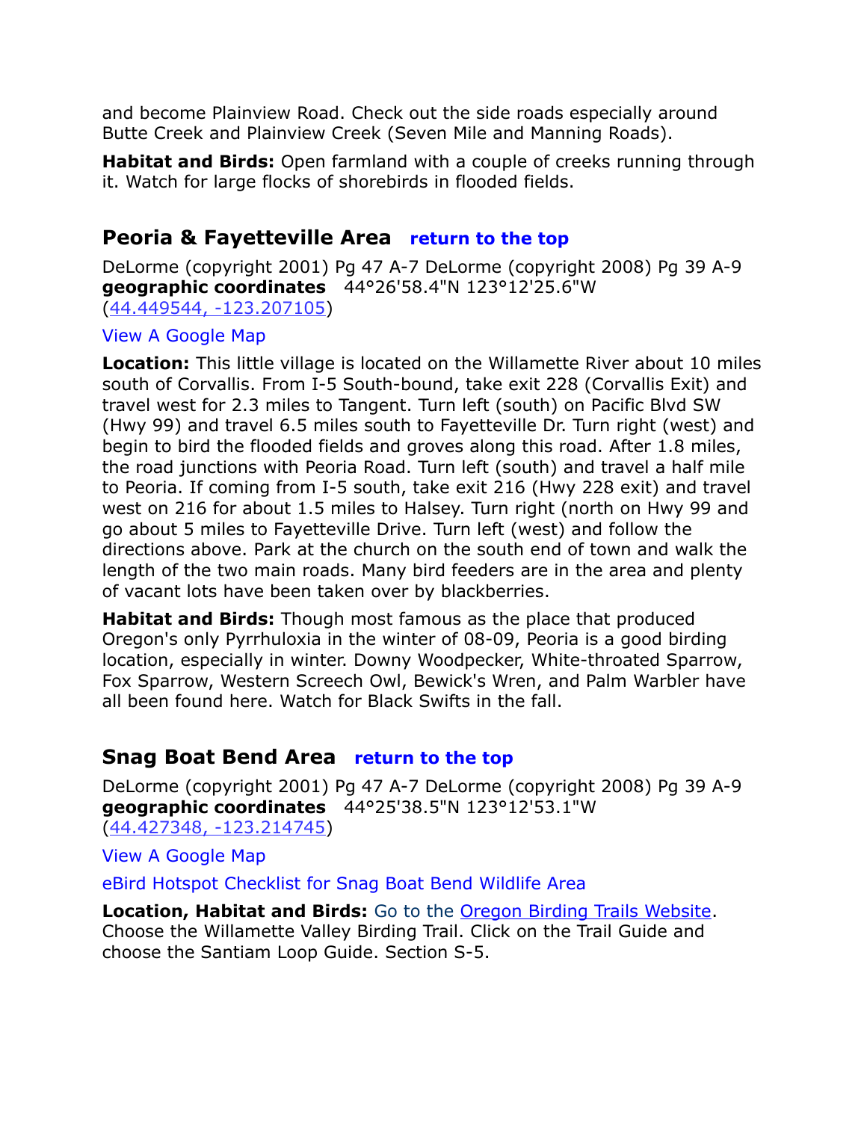and become Plainview Road. Check out the side roads especially around Butte Creek and Plainview Creek (Seven Mile and Manning Roads).

**Habitat and Birds:** Open farmland with a couple of creeks running through it. Watch for large flocks of shorebirds in flooded fields.

# <span id="page-7-0"></span>**Peoria & Fayetteville Area [return to the top](#page-0-0)**

DeLorme (copyright 2001) Pg 47 A-7 DeLorme (copyright 2008) Pg 39 A-9 **geographic coordinates** 44°26'58.4"N 123°12'25.6"W [\(44.449544, -123.207105\)](https://www.google.com/maps/place/44%C2%B026)

#### [View A Google Map](http://maps.google.com/maps/ms?hl=en&ie=UTF8&msa=0&msid=108036481085398338899.000471d893511c3252200&ll=44.455349,-123.162918&spn=0.39014,1.056747&z=11)

**Location:** This little village is located on the Willamette River about 10 miles south of Corvallis. From I-5 South-bound, take exit 228 (Corvallis Exit) and travel west for 2.3 miles to Tangent. Turn left (south) on Pacific Blvd SW (Hwy 99) and travel 6.5 miles south to Fayetteville Dr. Turn right (west) and begin to bird the flooded fields and groves along this road. After 1.8 miles, the road junctions with Peoria Road. Turn left (south) and travel a half mile to Peoria. If coming from I-5 south, take exit 216 (Hwy 228 exit) and travel west on 216 for about 1.5 miles to Halsey. Turn right (north on Hwy 99 and go about 5 miles to Fayetteville Drive. Turn left (west) and follow the directions above. Park at the church on the south end of town and walk the length of the two main roads. Many bird feeders are in the area and plenty of vacant lots have been taken over by blackberries.

**Habitat and Birds:** Though most famous as the place that produced Oregon's only Pyrrhuloxia in the winter of 08-09, Peoria is a good birding location, especially in winter. Downy Woodpecker, White-throated Sparrow, Fox Sparrow, Western Screech Owl, Bewick's Wren, and Palm Warbler have all been found here. Watch for Black Swifts in the fall.

# <span id="page-7-1"></span>**Snag Boat Bend Area [return to the top](#page-0-0)**

DeLorme (copyright 2001) Pg 47 A-7 DeLorme (copyright 2008) Pg 39 A-9 **geographic coordinates** 44°25'38.5"N 123°12'53.1"W [\(44.427348, -123.214745\)](https://www.google.com/maps/place/44%C2%B025)

[View A Google Map](http://maps.google.com/maps/ms?hl=en&ie=UTF8&msa=0&msid=108036481085398338899.0004721297e33a1508ca0&ll=44.516093,-122.949371&spn=0.841151,2.108002&z=10)

[eBird Hotspot Checklist for Snag Boat Bend Wildlife Area](http://ebird.org/ebird/hotspot/L200630)

**Location, Habitat and Birds:** [Go to the](http://ecbcbirds.org/Providers/HtmlEditorProviders/Fck/fckeditor/editor/.%20%20http:/www.oregonbirdingtrails.org/) [Oregon Birding Trails Website.](http://www.oregonbirdingtrails.org/) Choose the Willamette Valley Birding Trail. Click on the Trail Guide and choose the Santiam Loop Guide. Section S-5.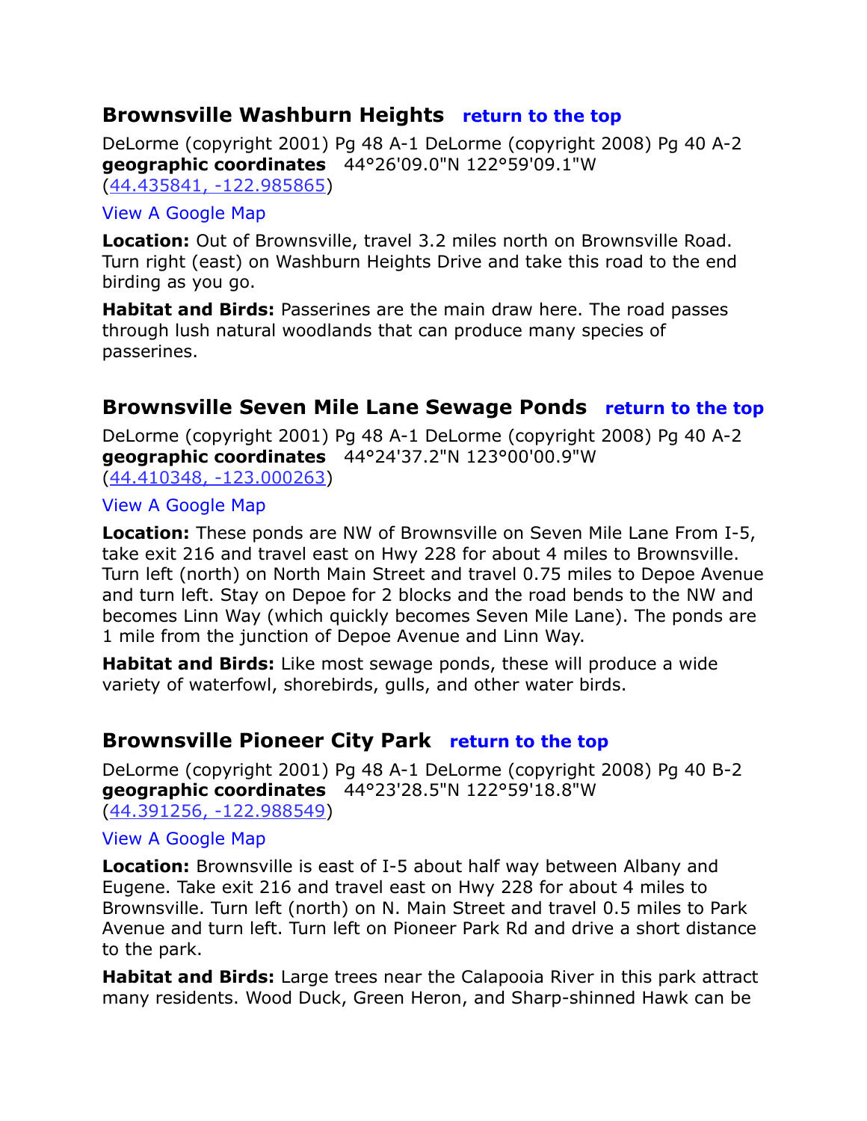# <span id="page-8-2"></span>**Brownsville Washburn Heights [return to the top](#page-0-0)**

DeLorme (copyright 2001) Pg 48 A-1 DeLorme (copyright 2008) Pg 40 A-2 **geographic coordinates** 44°26'09.0"N 122°59'09.1"W [\(44.435841, -122.985865\)](https://www.google.com/maps/place/44%C2%B026)

#### [View A Google Map](http://maps.google.com/maps/ms?hl=en&ie=UTF8&msa=0&msid=108036481085398338899.0004711cfb3739d9e05bc&ll=44.35135,-122.816162&spn=0.374629,1.056747&z=11)

**Location:** Out of Brownsville, travel 3.2 miles north on Brownsville Road. Turn right (east) on Washburn Heights Drive and take this road to the end birding as you go.

**Habitat and Birds:** Passerines are the main draw here. The road passes through lush natural woodlands that can produce many species of passerines.

# <span id="page-8-1"></span>**Brownsville Seven Mile Lane Sewage Ponds [return to the top](#page-0-0)**

DeLorme (copyright 2001) Pg 48 A-1 DeLorme (copyright 2008) Pg 40 A-2 **geographic coordinates** 44°24'37.2"N 123°00'00.9"W [\(44.410348, -123.000263\)](https://www.google.com/maps/place/44%C2%B024)

#### [View A Google Map](http://maps.google.com/maps/ms?hl=en&ie=UTF8&msa=0&msid=108036481085398338899.0004711cfb3739d9e05bc&ll=44.35135,-122.816162&spn=0.374629,1.056747&z=11)

**Location:** These ponds are NW of Brownsville on Seven Mile Lane From I-5, take exit 216 and travel east on Hwy 228 for about 4 miles to Brownsville. Turn left (north) on North Main Street and travel 0.75 miles to Depoe Avenue and turn left. Stay on Depoe for 2 blocks and the road bends to the NW and becomes Linn Way (which quickly becomes Seven Mile Lane). The ponds are 1 mile from the junction of Depoe Avenue and Linn Way.

**Habitat and Birds:** Like most sewage ponds, these will produce a wide variety of waterfowl, shorebirds, gulls, and other water birds.

# <span id="page-8-0"></span>**Brownsville Pioneer City Park [return to the top](#page-0-0)**

DeLorme (copyright 2001) Pg 48 A-1 DeLorme (copyright 2008) Pg 40 B-2 **geographic coordinates** 44°23'28.5"N 122°59'18.8"W [\(44.391256, -122.988549\)](https://www.google.com/maps/place/44%C2%B023)

#### [View A Google Map](http://maps.google.com/maps/ms?hl=en&ie=UTF8&msa=0&msid=108036481085398338899.0004711cfb3739d9e05bc&ll=44.35135,-122.816162&spn=0.374629,1.056747&z=11)

**Location:** Brownsville is east of I-5 about half way between Albany and Eugene. Take exit 216 and travel east on Hwy 228 for about 4 miles to Brownsville. Turn left (north) on N. Main Street and travel 0.5 miles to Park Avenue and turn left. Turn left on Pioneer Park Rd and drive a short distance to the park.

**Habitat and Birds:** Large trees near the Calapooia River in this park attract many residents. Wood Duck, Green Heron, and Sharp-shinned Hawk can be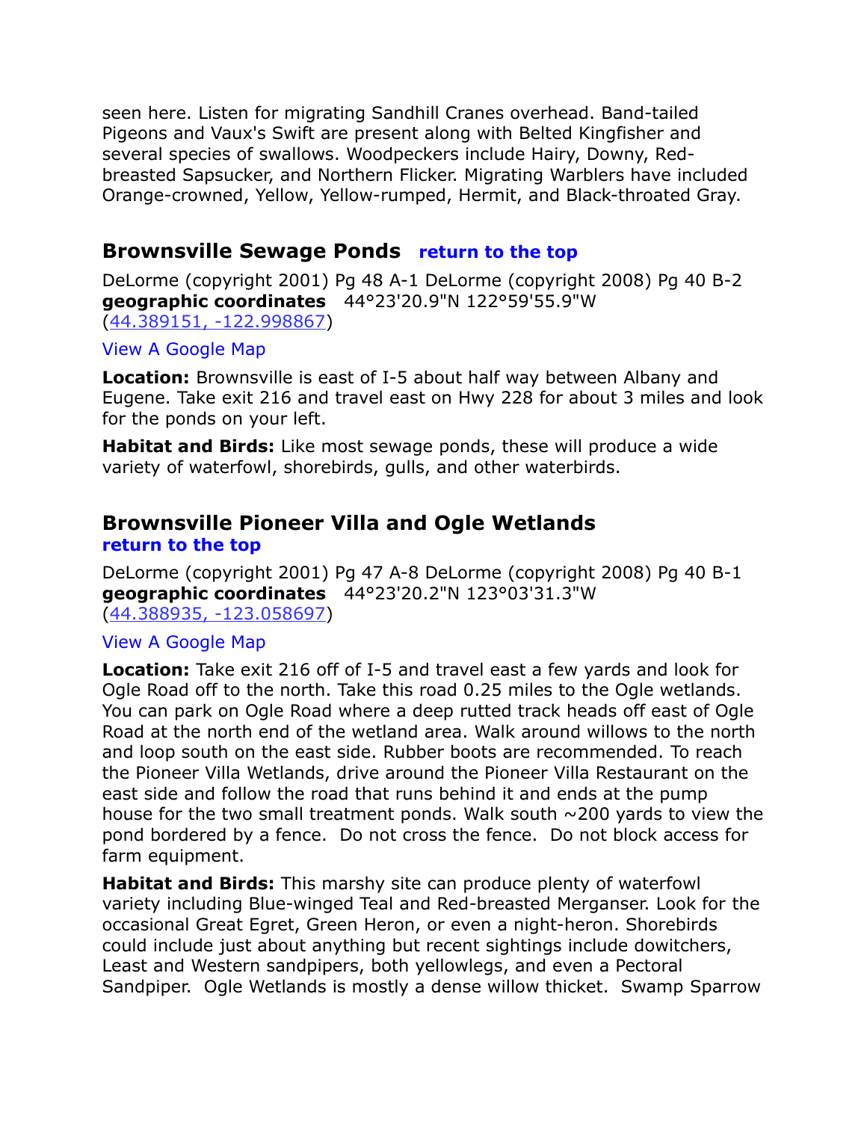seen here. Listen for migrating Sandhill Cranes overhead. Band-tailed Pigeons and Vaux's Swift are present along with Belted Kingfisher and several species of swallows. Woodpeckers include Hairy, Downy, Redbreasted Sapsucker, and Northern Flicker. Migrating Warblers have included Orange-crowned, Yellow, Yellow-rumped, Hermit, and Black-throated Gray.

# <span id="page-9-1"></span>**Brownsville Sewage Ponds [return to the top](#page-0-0)**

DeLorme (copyright 2001) Pg 48 A-1 DeLorme (copyright 2008) Pg 40 B-2 **geographic coordinates** 44°23'20.9"N 122°59'55.9"W [\(44.389151, -122.998867\)](https://www.google.com/maps/place/44%C2%B023)

#### [View A Google Map](http://maps.google.com/maps/ms?hl=en&ie=UTF8&msa=0&msid=108036481085398338899.0004711cfb3739d9e05bc&ll=44.35135,-122.816162&spn=0.374629,1.056747&z=11)

**Location:** Brownsville is east of I-5 about half way between Albany and Eugene. Take exit 216 and travel east on Hwy 228 for about 3 miles and look for the ponds on your left.

**Habitat and Birds:** Like most sewage ponds, these will produce a wide variety of waterfowl, shorebirds, gulls, and other waterbirds.

## <span id="page-9-0"></span>**Brownsville Pioneer Villa and Ogle Wetlands [return to the top](#page-0-0)**

DeLorme (copyright 2001) Pg 47 A-8 DeLorme (copyright 2008) Pg 40 B-1 **geographic coordinates** 44°23'20.2"N 123°03'31.3"W [\(44.388935, -123.058697\)](https://www.google.com/maps/place/44%C2%B023)

#### [View A Google Map](http://maps.google.com/maps/ms?hl=en&ie=UTF8&msa=0&msid=108036481085398338899.0004711cfb3739d9e05bc&ll=44.35135,-122.816162&spn=0.374629,1.056747&z=11)

**Location:** Take exit 216 off of I-5 and travel east a few yards and look for Ogle Road off to the north. Take this road 0.25 miles to the Ogle wetlands. You can park on Ogle Road where a deep rutted track heads off east of Ogle Road at the north end of the wetland area. Walk around willows to the north and loop south on the east side. Rubber boots are recommended. To reach the Pioneer Villa Wetlands, drive around the Pioneer Villa Restaurant on the east side and follow the road that runs behind it and ends at the pump house for the two small treatment ponds. Walk south  $\sim$  200 yards to view the pond bordered by a fence. Do not cross the fence. Do not block access for farm equipment.

**Habitat and Birds:** This marshy site can produce plenty of waterfowl variety including Blue-winged Teal and Red-breasted Merganser. Look for the occasional Great Egret, Green Heron, or even a night-heron. Shorebirds could include just about anything but recent sightings include dowitchers, Least and Western sandpipers, both yellowlegs, and even a Pectoral Sandpiper. Ogle Wetlands is mostly a dense willow thicket. Swamp Sparrow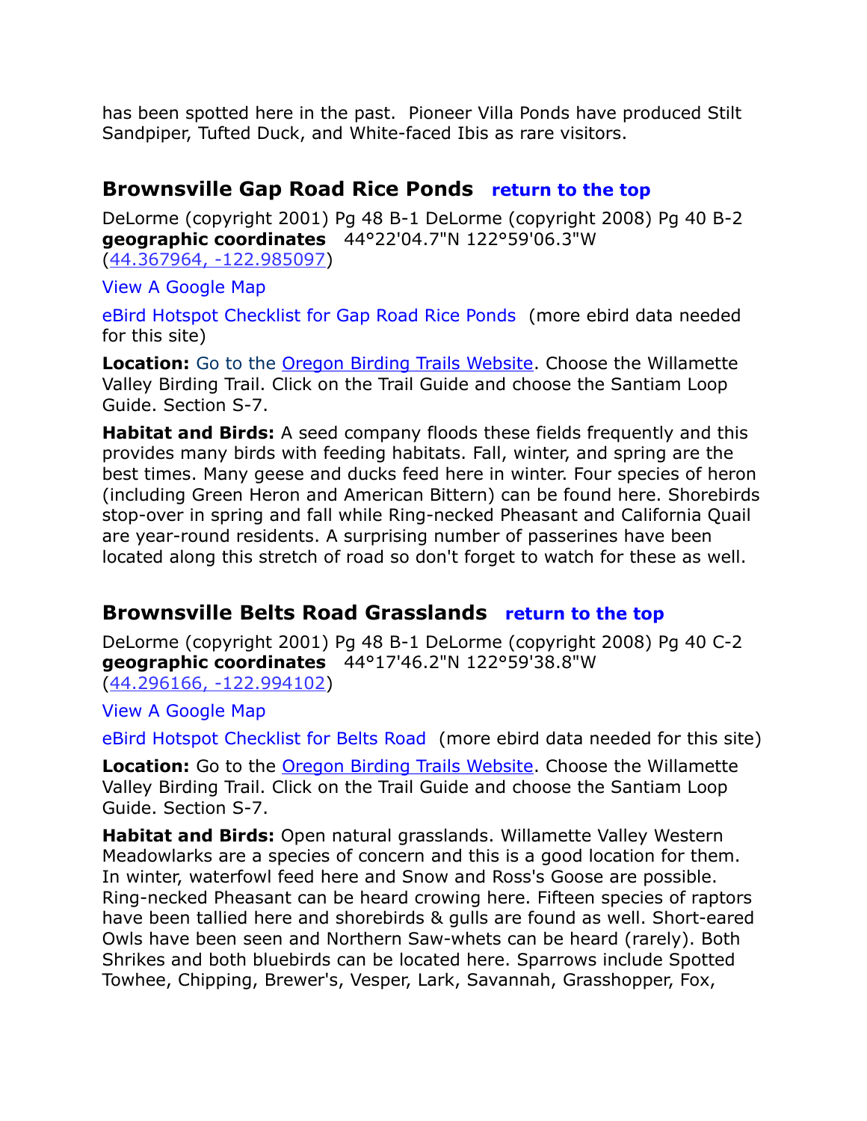has been spotted here in the past. Pioneer Villa Ponds have produced Stilt Sandpiper, Tufted Duck, and White-faced Ibis as rare visitors.

# <span id="page-10-0"></span>**Brownsville Gap Road Rice Ponds [return to the top](#page-0-0)**

DeLorme (copyright 2001) Pg 48 B-1 DeLorme (copyright 2008) Pg 40 B-2 **geographic coordinates** 44°22'04.7"N 122°59'06.3"W [\(44.367964, -122.985097\)](https://www.google.com/maps/place/44%C2%B022)

[View A Google Map](http://maps.google.com/maps/ms?hl=en&ie=UTF8&msa=0&msid=108036481085398338899.0004711cfb3739d9e05bc&ll=44.35135,-122.816162&spn=0.374629,1.056747&z=11)

[eBird Hotspot Checklist for Gap Road Rice Ponds](http://ebird.org/ebird/hotspot/L2024285) (more ebird data needed for this site)

**Location:** [Go to the Oregon Birding Trails Website.](http://www.oregonbirdingtrails.org/) Choose the Willamette Valley Birding Trail. Click on the Trail Guide and choose the Santiam Loop Guide. Section S-7.

**Habitat and Birds:** A seed company floods these fields frequently and this provides many birds with feeding habitats. Fall, winter, and spring are the best times. Many geese and ducks feed here in winter. Four species of heron (including Green Heron and American Bittern) can be found here. Shorebirds stop-over in spring and fall while Ring-necked Pheasant and California Quail are year-round residents. A surprising number of passerines have been located along this stretch of road so don't forget to watch for these as well.

# <span id="page-10-1"></span>**Brownsville Belts Road Grasslands [return to the top](#page-0-0)**

DeLorme (copyright 2001) Pg 48 B-1 DeLorme (copyright 2008) Pg 40 C-2 **geographic coordinates** 44°17'46.2"N 122°59'38.8"W [\(44.296166, -122.994102\)](https://www.google.com/maps/place/44%C2%B017)

[View A Google Map](http://maps.google.com/maps/ms?hl=en&ie=UTF8&msa=0&msid=108036481085398338899.0004711cfb3739d9e05bc&ll=44.35135,-122.816162&spn=0.374629,1.056747&z=11)

[eBird Hotspot Checklist for Belts Road](http://ebird.org/ebird/hotspot/L2024283) (more ebird data needed for this site)

**Location:** Go to the [Oregon Birding Trails Website.](http://www.oregonbirdingtrails.org/) Choose the Willamette Valley Birding Trail. Click on the Trail Guide and choose the Santiam Loop Guide. Section S-7.

**Habitat and Birds:** Open natural grasslands. Willamette Valley Western Meadowlarks are a species of concern and this is a good location for them. In winter, waterfowl feed here and Snow and Ross's Goose are possible. Ring-necked Pheasant can be heard crowing here. Fifteen species of raptors have been tallied here and shorebirds & gulls are found as well. Short-eared Owls have been seen and Northern Saw-whets can be heard (rarely). Both Shrikes and both bluebirds can be located here. Sparrows include Spotted Towhee, Chipping, Brewer's, Vesper, Lark, Savannah, Grasshopper, Fox,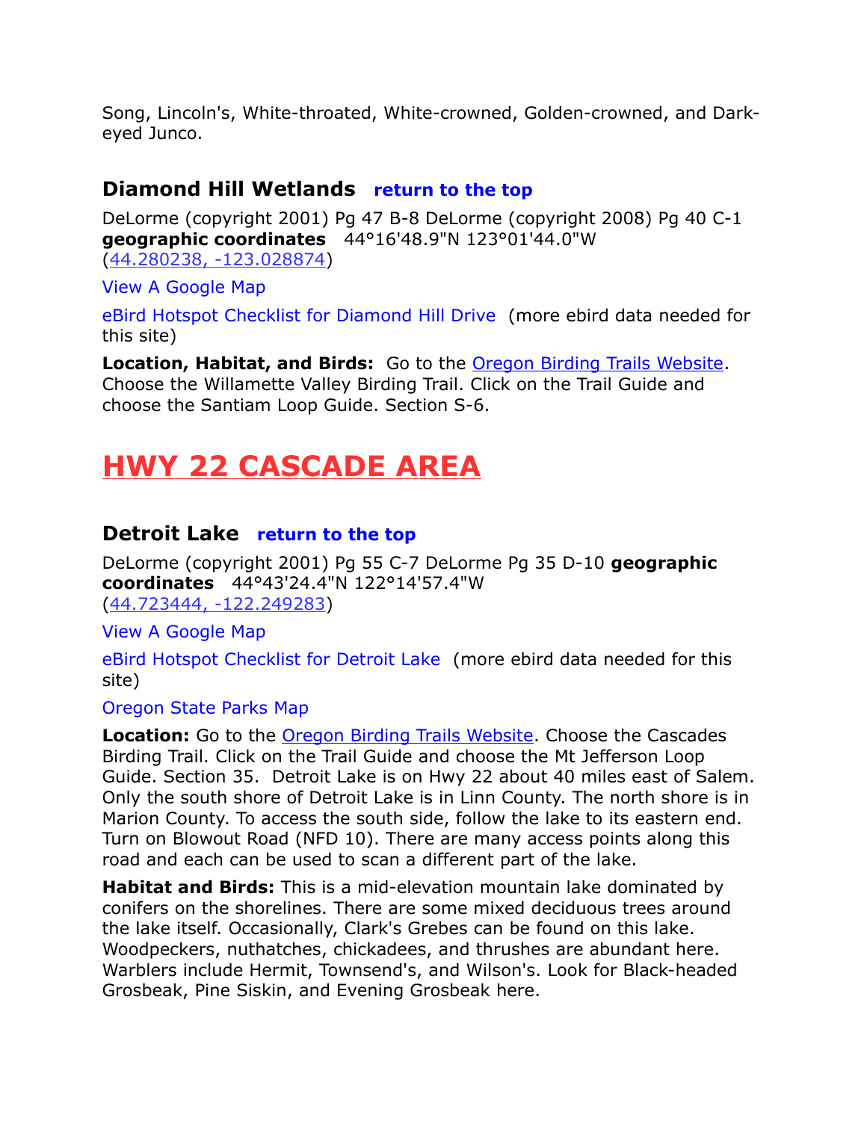Song, Lincoln's, White-throated, White-crowned, Golden-crowned, and Darkeyed Junco.

# <span id="page-11-0"></span>**Diamond Hill Wetlands [return to the top](#page-0-0)**

DeLorme (copyright 2001) Pg 47 B-8 DeLorme (copyright 2008) Pg 40 C-1 **geographic coordinates** 44°16'48.9"N 123°01'44.0"W [\(44.280238, -123.028874\)](https://www.google.com/maps/place/44%C2%B016)

[View A Google Map](http://maps.google.com/maps/ms?hl=en&ie=UTF8&msa=0&msid=108036481085398338899.0004711cfb3739d9e05bc&ll=44.35135,-122.816162&spn=0.374629,1.056747&z=11)

[eBird Hotspot Checklist for Diamond Hill Drive](http://ebird.org/ebird/hotspot/L2024281) (more ebird data needed for this site)

**Location, Habitat, and Birds:** Go to the [Oregon Birding Trails Website.](http://www.oregonbirdingtrails.org/) Choose the Willamette Valley Birding Trail. Click on the Trail Guide and choose the Santiam Loop Guide. Section S-6.

# <span id="page-11-2"></span>**HWY 22 CASCADE AREA**

# <span id="page-11-1"></span>**Detroit Lake [return to the top](#page-0-0)**

DeLorme (copyright 2001) Pg 55 C-7 DeLorme Pg 35 D-10 **geographic coordinates** 44°43'24.4"N 122°14'57.4"W [\(44.723444, -122.249283\)](https://www.google.com/maps/place/44%C2%B043)

[View A Google Map](http://maps.google.com/maps/ms?hl=en&ie=UTF8&msa=0&msid=108036481085398338899.00046d85866dc6746fbac&ll=44.747952,-122.033386&spn=0.191407,0.527687&z=12) 

[eBird Hotspot Checklist for Detroit Lake](http://ebird.org/ebird/hotspot/L923533) (more ebird data needed for this site)

[Oregon State Parks Map](http://detroitlakeoregon.org/)

**Location:** Go to the **Oregon Birding Trails Website**. Choose the Cascades Birding Trail. Click on the Trail Guide and choose the Mt Jefferson Loop Guide. Section 35. Detroit Lake is on Hwy 22 about 40 miles east of Salem. Only the south shore of Detroit Lake is in Linn County. The north shore is in Marion County. To access the south side, follow the lake to its eastern end. Turn on Blowout Road (NFD 10). There are many access points along this road and each can be used to scan a different part of the lake.

**Habitat and Birds:** This is a mid-elevation mountain lake dominated by conifers on the shorelines. There are some mixed deciduous trees around the lake itself. Occasionally, Clark's Grebes can be found on this lake. Woodpeckers, nuthatches, chickadees, and thrushes are abundant here. Warblers include Hermit, Townsend's, and Wilson's. Look for Black-headed Grosbeak, Pine Siskin, and Evening Grosbeak here.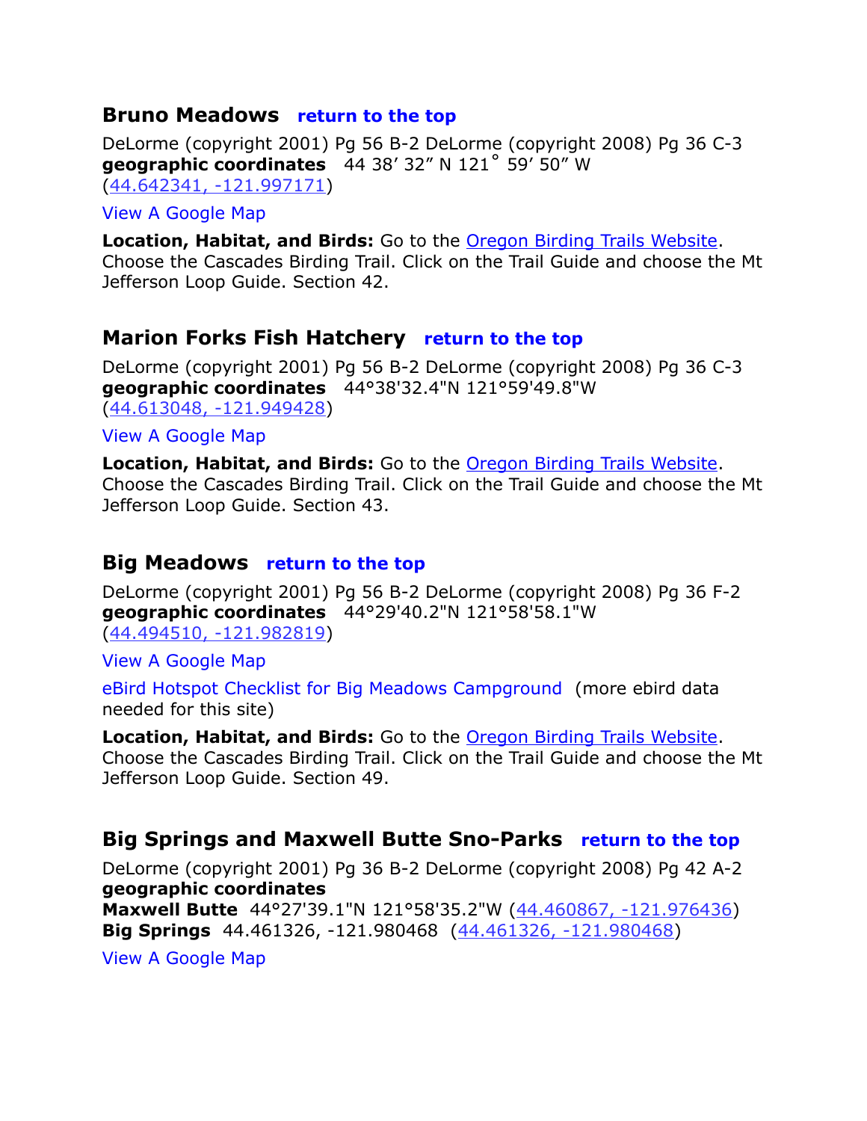### <span id="page-12-3"></span>**Bruno Meadows [return to the top](#page-0-0)**

DeLorme (copyright 2001) Pg 56 B-2 DeLorme (copyright 2008) Pg 36 C-3 **geographic coordinates** 44 38' 32" N 121˚ 59' 50" W [\(44.642341, -121.997171\)](https://www.google.com/maps/place/44%C2%B038)

#### [View A Google Map](http://maps.google.com/maps/ms?hl=en&ie=UTF8&msa=0&ll=44.511197,-122.216034&spn=0.713913,1.608124&z=10&msid=108036481085398338899.00046d8a9bca277e29e76)

**Location, Habitat, and Birds:** Go to the [Oregon Birding Trails Website.](http://www.oregonbirdingtrails.org/) Choose the Cascades Birding Trail. Click on the Trail Guide and choose the Mt Jefferson Loop Guide. Section 42.

# <span id="page-12-2"></span>**Marion Forks Fish Hatchery [return to the top](#page-0-0)**

DeLorme (copyright 2001) Pg 56 B-2 DeLorme (copyright 2008) Pg 36 C-3 **geographic coordinates** 44°38'32.4"N 121°59'49.8"W [\(44.613048, -121.949428\)](https://www.google.com/maps/place/44%C2%B036)

[View A Google Map](http://maps.google.com/maps/ms?hl=en&ie=UTF8&msa=0&ll=44.511197,-122.216034&spn=0.713913,1.608124&z=10&msid=108036481085398338899.00046d8a9bca277e29e76)

**Location, Habitat, and Birds:** Go to the [Oregon Birding Trails Website.](http://www.oregonbirdingtrails.org/) Choose the Cascades Birding Trail. Click on the Trail Guide and choose the Mt Jefferson Loop Guide. Section 43.

# <span id="page-12-1"></span>**Big Meadows [return to the top](#page-0-0)**

DeLorme (copyright 2001) Pg 56 B-2 DeLorme (copyright 2008) Pg 36 F-2 **geographic coordinates** 44°29'40.2"N 121°58'58.1"W [\(44.494510, -121.982819\)](https://www.google.com/maps/place/44%C2%B029)

[View A Google Map](http://maps.google.com/maps/ms?hl=en&ie=UTF8&msa=0&ll=44.511197,-122.216034&spn=0.713913,1.608124&z=10&msid=108036481085398338899.00046d8a9bca277e29e76)

[eBird Hotspot Checklist for Big Meadows Campground](http://ebird.org/ebird/hotspot/L964822) (more ebird data needed for this site)

**Location, Habitat, and Birds:** Go to the [Oregon Birding Trails Website.](http://www.oregonbirdingtrails.org/) Choose the Cascades Birding Trail. Click on the Trail Guide and choose the Mt Jefferson Loop Guide. Section 49.

# <span id="page-12-0"></span>**Big Springs and Maxwell Butte Sno-Parks [return to the top](#page-0-0)**

DeLorme (copyright 2001) Pg 36 B-2 DeLorme (copyright 2008) Pg 42 A-2 **geographic coordinates Maxwell Butte** 44°27'39.1"N 121°58'35.2"W [\(44.460867, -121.976436\)](https://www.google.com/maps/place/44%C2%B027)

**Big Springs** 44.461326, -121.980468 [\(44.461326, -121.980468\)](https://www.google.com/maps/place/44%C2%B027)

[View A Google Map](http://maps.google.com/maps/ms?hl=en&ie=UTF8&msa=0&ll=44.511197,-122.216034&spn=0.713913,1.608124&z=10&msid=108036481085398338899.00046d8a9bca277e29e76)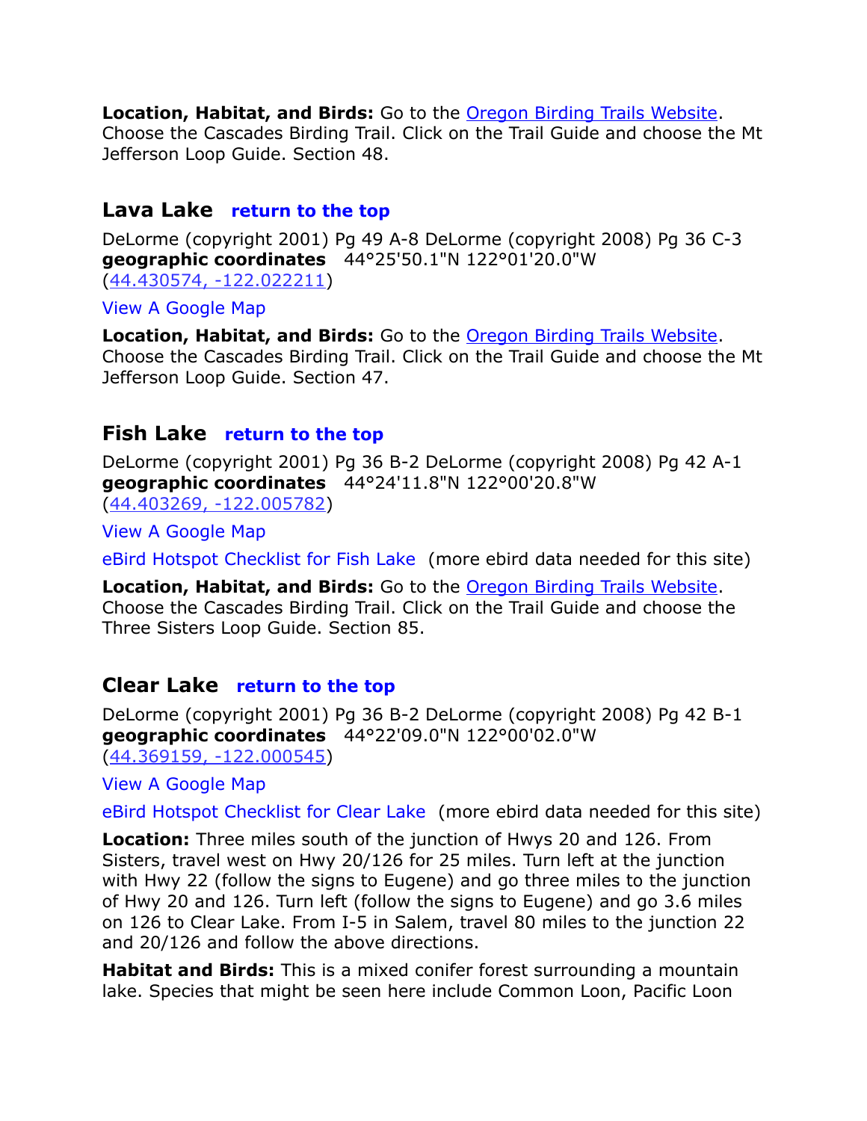**Location, Habitat, and Birds:** Go to the [Oregon Birding Trails Website.](http://www.oregonbirdingtrails.org/)

Choose the Cascades Birding Trail. Click on the Trail Guide and choose the Mt Jefferson Loop Guide. Section 48.

## <span id="page-13-1"></span>**Lava Lake [return to the top](#page-0-0)**

DeLorme (copyright 2001) Pg 49 A-8 DeLorme (copyright 2008) Pg 36 C-3 **geographic coordinates** 44°25'50.1"N 122°01'20.0"W [\(44.430574, -122.022211\)](https://www.google.com/maps/place/44%C2%B025)

[View A Google Map](http://maps.google.com/maps/ms?hl=en&ie=UTF8&msa=0&ll=44.511197,-122.216034&spn=0.713913,1.608124&z=10&msid=108036481085398338899.00046d8a9bca277e29e76)

**Location, Habitat, and Birds:** Go to the [Oregon Birding Trails Website.](http://www.oregonbirdingtrails.org/) Choose the Cascades Birding Trail. Click on the Trail Guide and choose the Mt Jefferson Loop Guide. Section 47.

# <span id="page-13-0"></span>**Fish Lake [return to the top](#page-0-0)**

DeLorme (copyright 2001) Pg 36 B-2 DeLorme (copyright 2008) Pg 42 A-1 **geographic coordinates** 44°24'11.8"N 122°00'20.8"W [\(44.403269, -122.005782\)](https://www.google.com/maps/place/44%C2%B024)

[View A Google Map](http://maps.google.com/maps/ms?hl=en&ie=UTF8&msa=0&ll=44.427896,-121.865158&spn=0.357468,0.804062&z=11&msid=108036481085398338899.00046d9400178902bfadc)

[eBird Hotspot Checklist for Fish Lake](http://ebird.org/ebird/hotspot/L564137) (more ebird data needed for this site)

**Location, Habitat, and Birds:** Go to the [Oregon Birding Trails Website.](http://www.oregonbirdingtrails.org/) Choose the Cascades Birding Trail. Click on the Trail Guide and choose the Three Sisters Loop Guide. Section 85.

# <span id="page-13-2"></span>**Clear Lake [return to the top](#page-0-0)**

DeLorme (copyright 2001) Pg 36 B-2 DeLorme (copyright 2008) Pg 42 B-1 **geographic coordinates** 44°22'09.0"N 122°00'02.0"W [\(44.369159, -122.000545\)](https://www.google.com/maps/place/44%C2%B022)

[View A Google Map](http://maps.google.com/maps/ms?hl=en&ie=UTF8&msa=0&ll=43.834527,-120.333252&spn=3.086621,6.712646&z=8&msid=108036481085398338899.00047a1def294181a7b67)

[eBird Hotspot Checklist for Clear Lake](http://ebird.org/ebird/hotspot/L610093) (more ebird data needed for this site)

**Location:** Three miles south of the junction of Hwys 20 and 126. From Sisters, travel west on Hwy 20/126 for 25 miles. Turn left at the junction with Hwy 22 (follow the signs to Eugene) and go three miles to the junction of Hwy 20 and 126. Turn left (follow the signs to Eugene) and go 3.6 miles on 126 to Clear Lake. From I-5 in Salem, travel 80 miles to the junction 22 and 20/126 and follow the above directions.

**Habitat and Birds:** This is a mixed conifer forest surrounding a mountain lake. Species that might be seen here include Common Loon, Pacific Loon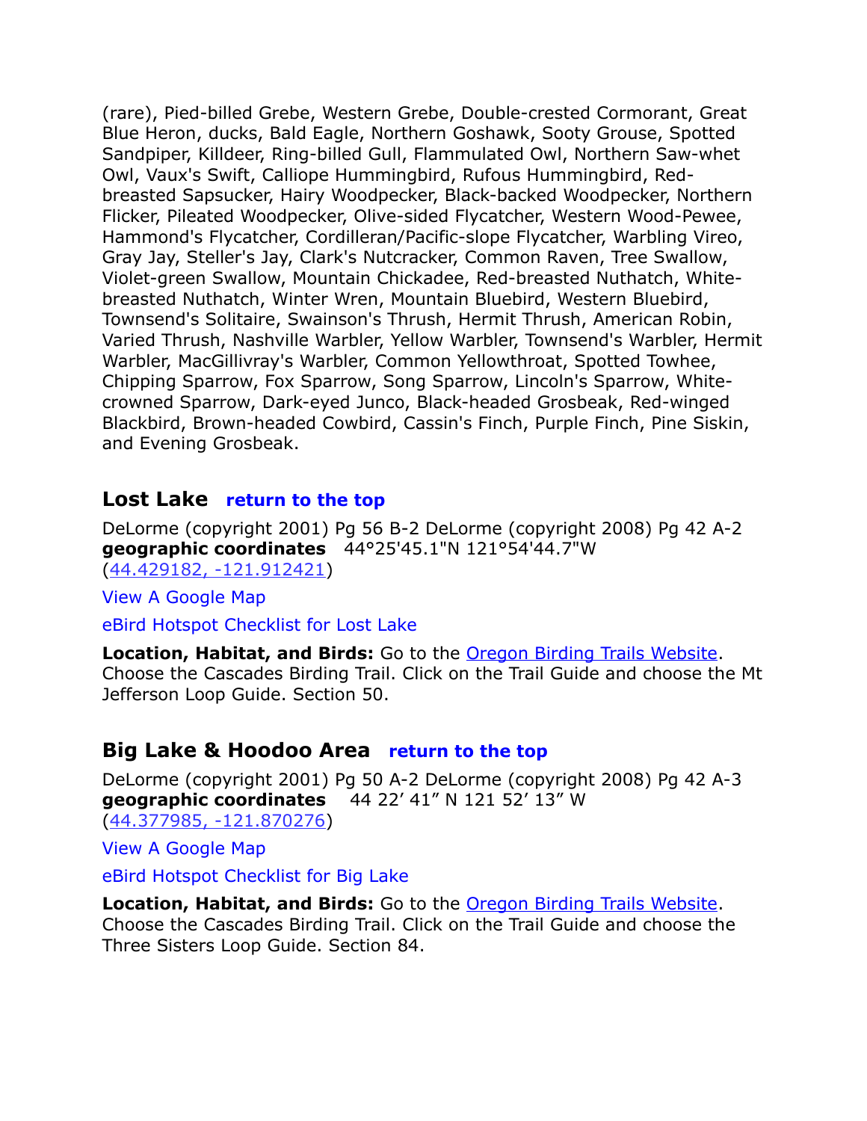(rare), Pied-billed Grebe, Western Grebe, Double-crested Cormorant, Great Blue Heron, ducks, Bald Eagle, Northern Goshawk, Sooty Grouse, Spotted Sandpiper, Killdeer, Ring-billed Gull, Flammulated Owl, Northern Saw-whet Owl, Vaux's Swift, Calliope Hummingbird, Rufous Hummingbird, Redbreasted Sapsucker, Hairy Woodpecker, Black-backed Woodpecker, Northern Flicker, Pileated Woodpecker, Olive-sided Flycatcher, Western Wood-Pewee, Hammond's Flycatcher, Cordilleran/Pacific-slope Flycatcher, Warbling Vireo, Gray Jay, Steller's Jay, Clark's Nutcracker, Common Raven, Tree Swallow, Violet-green Swallow, Mountain Chickadee, Red-breasted Nuthatch, Whitebreasted Nuthatch, Winter Wren, Mountain Bluebird, Western Bluebird, Townsend's Solitaire, Swainson's Thrush, Hermit Thrush, American Robin, Varied Thrush, Nashville Warbler, Yellow Warbler, Townsend's Warbler, Hermit Warbler, MacGillivray's Warbler, Common Yellowthroat, Spotted Towhee, Chipping Sparrow, Fox Sparrow, Song Sparrow, Lincoln's Sparrow, Whitecrowned Sparrow, Dark-eyed Junco, Black-headed Grosbeak, Red-winged Blackbird, Brown-headed Cowbird, Cassin's Finch, Purple Finch, Pine Siskin, and Evening Grosbeak.

#### <span id="page-14-1"></span>**Lost Lake [return to the top](#page-0-0)**

DeLorme (copyright 2001) Pg 56 B-2 DeLorme (copyright 2008) Pg 42 A-2 **geographic coordinates** 44°25'45.1"N 121°54'44.7"W [\(44.429182, -121.912421\)](https://www.google.com/maps/place/44%C2%B025)

[View A Google Map](http://maps.google.com/maps/ms?hl=en&ie=UTF8&msa=0&ll=44.511197,-122.216034&spn=0.713913,1.608124&z=10&msid=108036481085398338899.00046d8a9bca277e29e76)

[eBird Hotspot Checklist for Lost Lake](http://ebird.org/ebird/hotspot/L550378)

**Location, Habitat, and Birds:** Go to the [Oregon Birding Trails Website.](http://www.oregonbirdingtrails.org/) Choose the Cascades Birding Trail. Click on the Trail Guide and choose the Mt Jefferson Loop Guide. Section 50.

# <span id="page-14-0"></span>**Big Lake & Hoodoo Area [return to the top](#page-0-0)**

DeLorme (copyright 2001) Pg 50 A-2 DeLorme (copyright 2008) Pg 42 A-3 **geographic coordinates** 44 22' 41" N 121 52' 13" W [\(44.377985, -121.870276\)](https://www.google.com/maps/place/44%C2%B022)

[View A Google Map](http://maps.google.com/maps/ms?hl=en&ie=UTF8&msa=0&ll=44.427896,-121.865158&spn=0.357468,0.804062&z=11&msid=108036481085398338899.00046d9400178902bfadc)

[eBird Hotspot Checklist for Big Lake](http://ebird.org/ebird/hotspot/L1313296)

**Location, Habitat, and Birds:** Go to the [Oregon Birding Trails Website.](http://www.oregonbirdingtrails.org/) Choose the Cascades Birding Trail. Click on the Trail Guide and choose the Three Sisters Loop Guide. Section 84.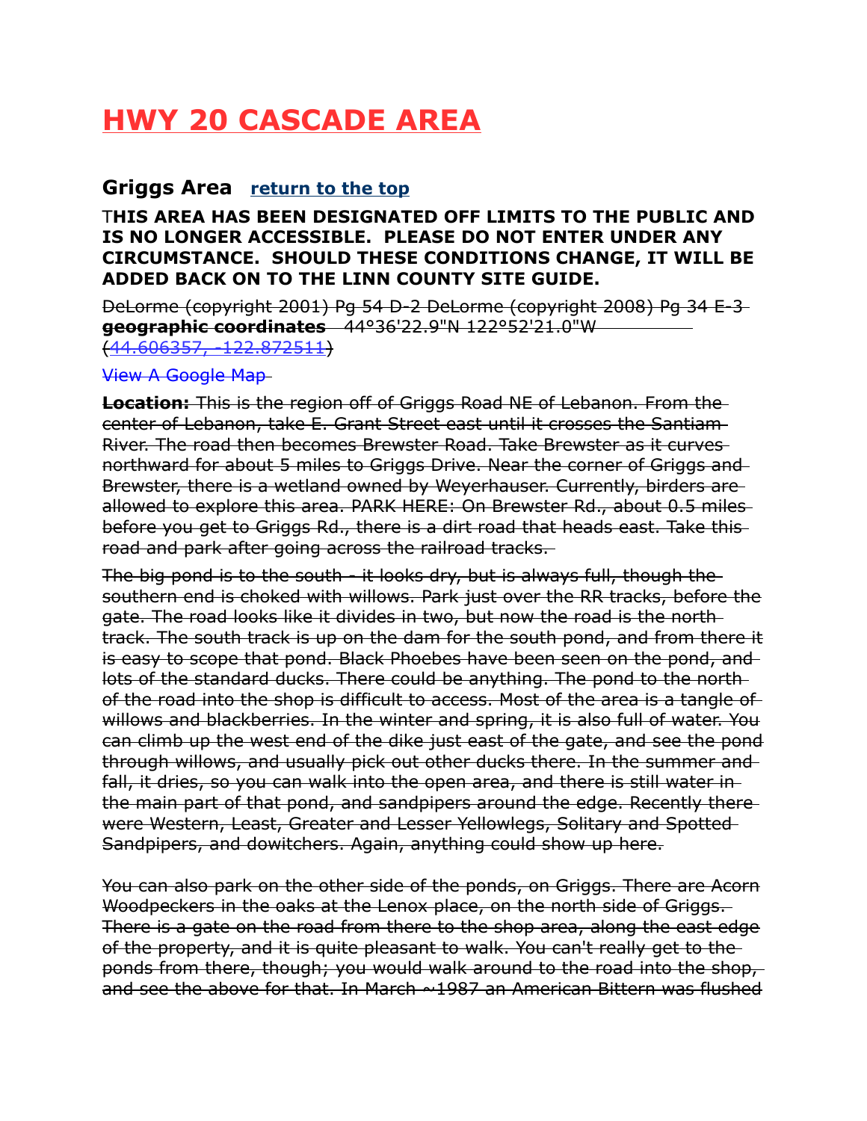# <span id="page-15-1"></span>**HWY 20 CASCADE AREA**

# <span id="page-15-0"></span>**Griggs Area [return to the top](#page-0-0)**

#### T**HIS AREA HAS BEEN DESIGNATED OFF LIMITS TO THE PUBLIC AND IS NO LONGER ACCESSIBLE. PLEASE DO NOT ENTER UNDER ANY CIRCUMSTANCE. SHOULD THESE CONDITIONS CHANGE, IT WILL BE ADDED BACK ON TO THE LINN COUNTY SITE GUIDE.**

DeLorme (copyright 2001) Pg 54 D-2 DeLorme (copyright 2008) Pg 34 E-3 **geographic coordinates** 44°36'22.9"N 122°52'21.0"W [\(44.606357, -122.872511\)](https://www.google.com/maps/place/44%C2%B036)

[View A Google Map](http://maps.google.com/maps/ms?hl=en&ie=UTF8&msa=0&msid=108036481085398338899.0004721297e33a1508ca0&ll=44.516093,-122.949371&spn=0.841151,2.108002&z=10)

**Location:** This is the region off of Griggs Road NE of Lebanon. From the center of Lebanon, take E. Grant Street east until it crosses the Santiam River. The road then becomes Brewster Road. Take Brewster as it curves northward for about 5 miles to Griggs Drive. Near the corner of Griggs and Brewster, there is a wetland owned by Weyerhauser. Currently, birders are allowed to explore this area. PARK HERE: On Brewster Rd., about 0.5 miles before you get to Griggs Rd., there is a dirt road that heads east. Take this road and park after going across the railroad tracks.

The big pond is to the south - it looks dry, but is always full, though the southern end is choked with willows. Park just over the RR tracks, before the gate. The road looks like it divides in two, but now the road is the north track. The south track is up on the dam for the south pond, and from there it is easy to scope that pond. Black Phoebes have been seen on the pond, and lots of the standard ducks. There could be anything. The pond to the north of the road into the shop is difficult to access. Most of the area is a tangle of willows and blackberries. In the winter and spring, it is also full of water. You can climb up the west end of the dike just east of the gate, and see the pond through willows, and usually pick out other ducks there. In the summer and fall, it dries, so you can walk into the open area, and there is still water in the main part of that pond, and sandpipers around the edge. Recently there were Western, Least, Greater and Lesser Yellowlegs, Solitary and Spotted Sandpipers, and dowitchers. Again, anything could show up here.

You can also park on the other side of the ponds, on Griggs. There are Acorn Woodpeckers in the oaks at the Lenox place, on the north side of Griggs. There is a gate on the road from there to the shop area, along the east edge of the property, and it is quite pleasant to walk. You can't really get to the ponds from there, though; you would walk around to the road into the shop, and see the above for that. In March  $\sim$ 1987 an American Bittern was flushed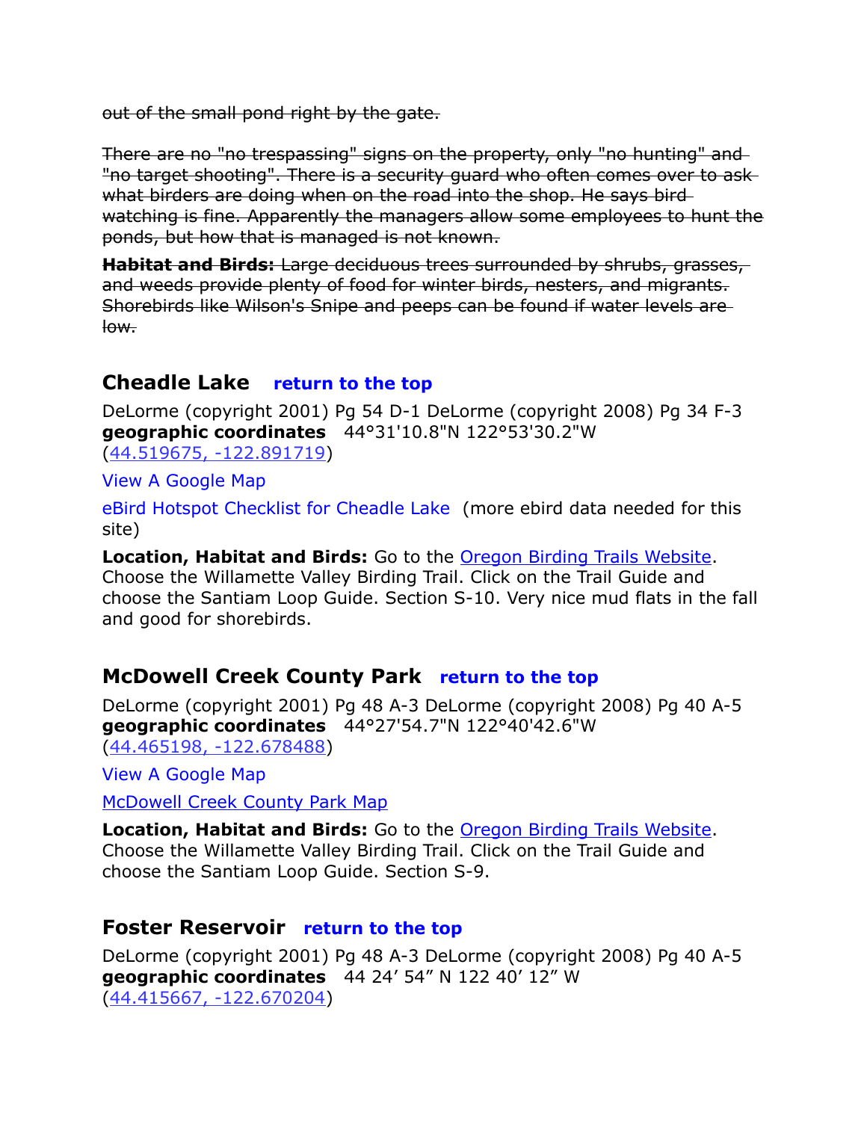out of the small pond right by the gate.

There are no "no trespassing" signs on the property, only "no hunting" and "no target shooting". There is a security guard who often comes over to ask what birders are doing when on the road into the shop. He says bird watching is fine. Apparently the managers allow some employees to hunt the ponds, but how that is managed is not known.

**Habitat and Birds:** Large deciduous trees surrounded by shrubs, grasses, and weeds provide plenty of food for winter birds, nesters, and migrants. Shorebirds like Wilson's Snipe and peeps can be found if water levels are low.

# <span id="page-16-1"></span>**Cheadle Lake [return to the top](#page-0-0)**

DeLorme (copyright 2001) Pg 54 D-1 DeLorme (copyright 2008) Pg 34 F-3 **geographic coordinates** 44°31'10.8"N 122°53'30.2"W [\(44.519675, -122.891719\)](https://www.google.com/maps/place/44%C2%B031)

[View A Google Map](http://maps.google.com/maps/ms?hl=en&ie=UTF8&msa=0&msid=108036481085398338899.0004721297e33a1508ca0&ll=44.516093,-122.949371&spn=0.841151,2.108002&z=10)

[eBird Hotspot Checklist for Cheadle Lake](http://ebird.org/ebird/hotspot/L986710) (more ebird data needed for this site)

**Location, Habitat and Birds:** Go to the [Oregon Birding Trails Website.](http://www.oregonbirdingtrails.org/) Choose the Willamette Valley Birding Trail. Click on the Trail Guide and choose the Santiam Loop Guide. Section S-10. Very nice mud flats in the fall and good for shorebirds.

# <span id="page-16-2"></span>**McDowell Creek County Park [return to the top](#page-0-0)**

DeLorme (copyright 2001) Pg 48 A-3 DeLorme (copyright 2008) Pg 40 A-5 **geographic coordinates** 44°27'54.7"N 122°40'42.6"W [\(44.465198, -122.678488\)](https://www.google.com/maps/place/44%C2%B027)

[View A Google Map](http://maps.google.com/maps/ms?hl=en&ie=UTF8&msa=0&msid=108036481085398338899.0004721297e33a1508ca0&ll=44.516093,-122.949371&spn=0.841151,2.108002&z=10)

[McDowell Creek County Park Map](http://www.linnparks.com/pages/parks/mcdowell.html)

**Location, Habitat and Birds:** Go to the [Oregon Birding Trails Website.](http://www.oregonbirdingtrails.org/) Choose the Willamette Valley Birding Trail. Click on the Trail Guide and choose the Santiam Loop Guide. Section S-9.

# <span id="page-16-0"></span>**Foster Reservoir [return to the top](#page-0-0)**

DeLorme (copyright 2001) Pg 48 A-3 DeLorme (copyright 2008) Pg 40 A-5 **geographic coordinates** 44 24' 54" N 122 40' 12" W (44.415667, -122.670204)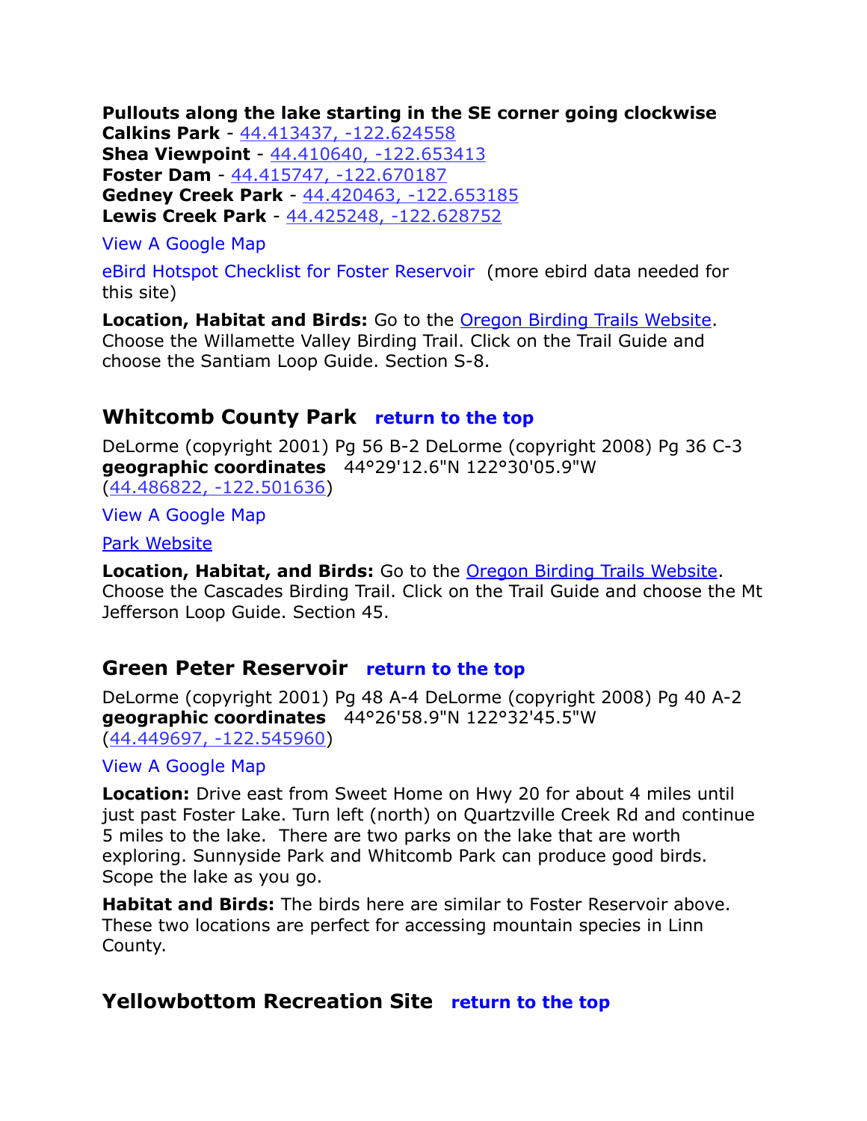**Pullouts along the lake starting in the SE corner going clockwise Calkins Park** - [44.413437, -122.624558](https://www.google.com/maps/place/44%C2%B024)  **Shea Viewpoint** - [44.410640, -122.653413](https://www.google.com/maps/place/44%C2%B024)  **Foster Dam** - [44.415747, -122.670187](https://www.google.com/maps/place/44%C2%B024)  **Gedney Creek Park** - [44.420463, -122.653185](https://www.google.com/maps/place/44%C2%B025)  **Lewis Creek Park** - [44.425248, -122.628752](https://www.google.com/maps/place/44%C2%B025)

#### [View A Google Map](http://maps.google.com/maps/ms?hl=en&ie=UTF8&msa=0&msid=108036481085398338899.000471d81ebac3c587f24&ll=44.46025,-122.453613&spn=0.389127,1.056747&z=11)

[eBird Hotspot Checklist for Foster Reservoir](http://ebird.org/ebird/hotspot/L1920722) (more ebird data needed for this site)

**Location, Habitat and Birds:** Go to the [Oregon Birding Trails Website.](http://www.oregonbirdingtrails.org/) Choose the Willamette Valley Birding Trail. Click on the Trail Guide and choose the Santiam Loop Guide. Section S-8.

## <span id="page-17-2"></span>**Whitcomb County Park [return to the top](#page-0-0)**

DeLorme (copyright 2001) Pg 56 B-2 DeLorme (copyright 2008) Pg 36 C-3 **geographic coordinates** 44°29'12.6"N 122°30'05.9"W [\(44.486822, -122.501636\)](https://www.google.com/maps/place/44%C2%B029)

[View A Google Map](http://maps.google.com/maps/ms?hl=en&ie=UTF8&msa=0&ll=44.511197,-122.216034&spn=0.713913,1.608124&z=10&msid=108036481085398338899.00046d8a9bca277e29e76)

[Park Website](http://www.linnparks.com/pages/parks/whitcombcreek.html)

**Location, Habitat, and Birds:** Go to the [Oregon Birding Trails Website.](http://www.oregonbirdingtrails.org/) Choose the Cascades Birding Trail. Click on the Trail Guide and choose the Mt Jefferson Loop Guide. Section 45.

# <span id="page-17-1"></span>**Green Peter Reservoir [return to the top](#page-0-0)**

DeLorme (copyright 2001) Pg 48 A-4 DeLorme (copyright 2008) Pg 40 A-2 **geographic coordinates** 44°26'58.9"N 122°32'45.5"W [\(44.449697, -122.545960\)](https://www.google.com/maps/place/44%C2%B026)

#### [View A Google Map](http://maps.google.com/maps/ms?hl=en&ie=UTF8&msa=0&msid=108036481085398338899.000471d81ebac3c587f24&ll=44.46025,-122.453613&spn=0.389127,1.056747&z=11)

**Location:** Drive east from Sweet Home on Hwy 20 for about 4 miles until just past Foster Lake. Turn left (north) on Quartzville Creek Rd and continue 5 miles to the lake. There are two parks on the lake that are worth exploring. Sunnyside Park and Whitcomb Park can produce good birds. Scope the lake as you go.

**Habitat and Birds:** The birds here are similar to Foster Reservoir above. These two locations are perfect for accessing mountain species in Linn County.

# <span id="page-17-0"></span>**Yellowbottom Recreation Site [return to the top](#page-0-0)**